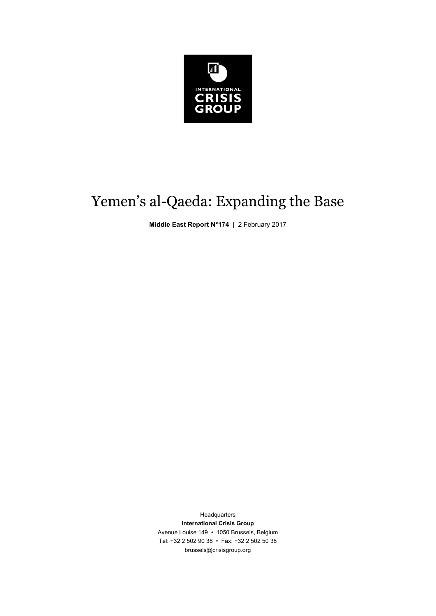

# Yemen's al-Qaeda: Expanding the Base

**Middle East Report N°174** | 2 February 2017

Headquarters **International Crisis Group**  Avenue Louise 149 • 1050 Brussels, Belgium Tel: +32 2 502 90 38 • Fax: +32 2 502 50 38 brussels@crisisgroup.org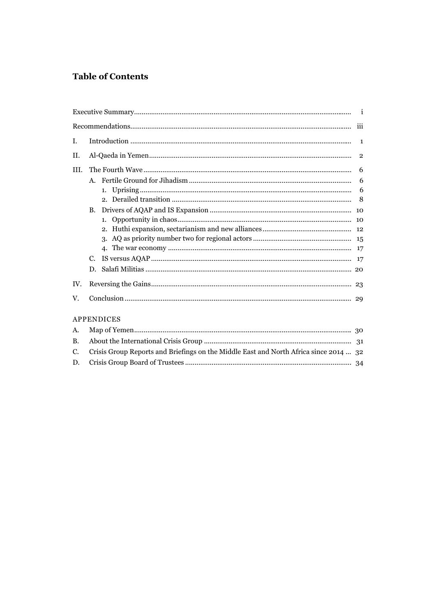## **Table of Contents**

| L.  |                   |    |  |
|-----|-------------------|----|--|
| Н.  |                   |    |  |
| HL. |                   |    |  |
|     |                   | 6  |  |
|     |                   | 6  |  |
|     |                   |    |  |
|     | $\mathbf{B}$ .    |    |  |
|     |                   |    |  |
|     |                   |    |  |
|     |                   |    |  |
|     |                   |    |  |
|     | C.                |    |  |
|     | D.                | 20 |  |
| IV. |                   |    |  |
| V.  |                   |    |  |
|     | <b>APPENDICES</b> |    |  |

| C. Crisis Group Reports and Briefings on the Middle East and North Africa since 2014  32 |  |
|------------------------------------------------------------------------------------------|--|
|                                                                                          |  |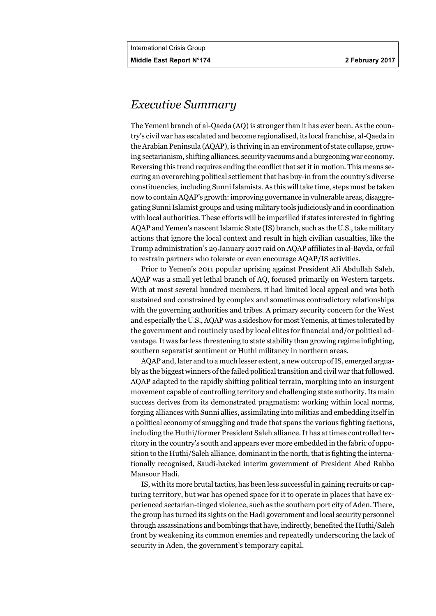**Middle East Report N°174 2 February 2017** 

## *Executive Summary*

The Yemeni branch of al-Qaeda (AQ) is stronger than it has ever been. As the country's civil war has escalated and become regionalised, its local franchise, al-Qaeda in the Arabian Peninsula (AQAP), is thriving in an environment of state collapse, growing sectarianism, shifting alliances, security vacuums and a burgeoning war economy. Reversing this trend requires ending the conflict that set it in motion. This means securing an overarching political settlement that has buy-in from the country's diverse constituencies, including Sunni Islamists. As this will take time, steps must be taken now to contain AQAP's growth: improving governance in vulnerable areas, disaggregating Sunni Islamist groups and using military tools judiciously and in coordination with local authorities. These efforts will be imperilled if states interested in fighting AQAP and Yemen's nascent Islamic State (IS) branch, such as the U.S., take military actions that ignore the local context and result in high civilian casualties, like the Trump administration's 29 January 2017 raid on AQAP affiliates in al-Bayda, or fail to restrain partners who tolerate or even encourage AQAP/IS activities.

Prior to Yemen's 2011 popular uprising against President Ali Abdullah Saleh, AQAP was a small yet lethal branch of AQ, focused primarily on Western targets. With at most several hundred members, it had limited local appeal and was both sustained and constrained by complex and sometimes contradictory relationships with the governing authorities and tribes. A primary security concern for the West and especially the U.S., AQAP was a sideshow for most Yemenis, at times tolerated by the government and routinely used by local elites for financial and/or political advantage. It was far less threatening to state stability than growing regime infighting, southern separatist sentiment or Huthi militancy in northern areas.

AQAP and, later and to a much lesser extent, a new outcrop of IS, emerged arguably as the biggest winners of the failed political transition and civil war that followed. AQAP adapted to the rapidly shifting political terrain, morphing into an insurgent movement capable of controlling territory and challenging state authority. Its main success derives from its demonstrated pragmatism: working within local norms, forging alliances with Sunni allies, assimilating into militias and embedding itself in a political economy of smuggling and trade that spans the various fighting factions, including the Huthi/former President Saleh alliance. It has at times controlled territory in the country's south and appears ever more embedded in the fabric of opposition to the Huthi/Saleh alliance, dominant in the north, that is fighting the internationally recognised, Saudi-backed interim government of President Abed Rabbo Mansour Hadi.

IS, with its more brutal tactics, has been less successful in gaining recruits or capturing territory, but war has opened space for it to operate in places that have experienced sectarian-tinged violence, such as the southern port city of Aden. There, the group has turned its sights on the Hadi government and local security personnel through assassinations and bombings that have, indirectly, benefited the Huthi/Saleh front by weakening its common enemies and repeatedly underscoring the lack of security in Aden, the government's temporary capital.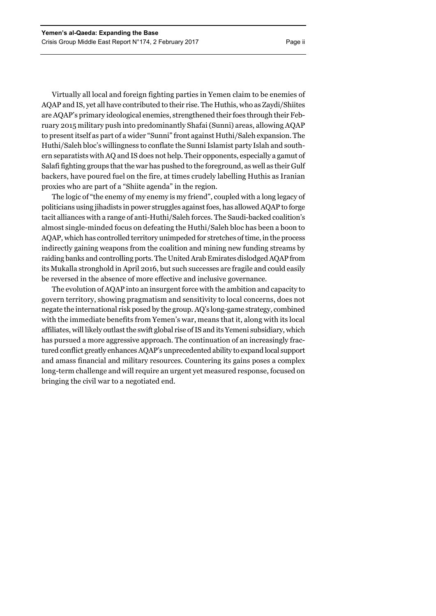Virtually all local and foreign fighting parties in Yemen claim to be enemies of AQAP and IS, yet all have contributed to their rise. The Huthis, who as Zaydi/Shiites are AQAP's primary ideological enemies, strengthened their foes through their February 2015 military push into predominantly Shafai (Sunni) areas, allowing AQAP to present itself as part of a wider "Sunni" front against Huthi/Saleh expansion. The Huthi/Saleh bloc's willingness to conflate the Sunni Islamist party Islah and southern separatists with AQ and IS does not help. Their opponents, especially a gamut of Salafi fighting groups that the war has pushed to the foreground, as well as their Gulf backers, have poured fuel on the fire, at times crudely labelling Huthis as Iranian proxies who are part of a "Shiite agenda" in the region.

The logic of "the enemy of my enemy is my friend", coupled with a long legacy of politicians using jihadists in power struggles against foes, has allowed AQAP to forge tacit alliances with a range of anti-Huthi/Saleh forces. The Saudi-backed coalition's almost single-minded focus on defeating the Huthi/Saleh bloc has been a boon to AQAP, which has controlled territory unimpeded for stretches of time, in the process indirectly gaining weapons from the coalition and mining new funding streams by raiding banks and controlling ports. The United Arab Emirates dislodged AQAP from its Mukalla stronghold in April 2016, but such successes are fragile and could easily be reversed in the absence of more effective and inclusive governance.

The evolution of AQAP into an insurgent force with the ambition and capacity to govern territory, showing pragmatism and sensitivity to local concerns, does not negate the international risk posed by the group. AQ's long-game strategy, combined with the immediate benefits from Yemen's war, means that it, along with its local affiliates, will likely outlast the swift global rise of IS and its Yemeni subsidiary, which has pursued a more aggressive approach. The continuation of an increasingly fractured conflict greatly enhances AQAP's unprecedented ability to expand local support and amass financial and military resources. Countering its gains poses a complex long-term challenge and will require an urgent yet measured response, focused on bringing the civil war to a negotiated end.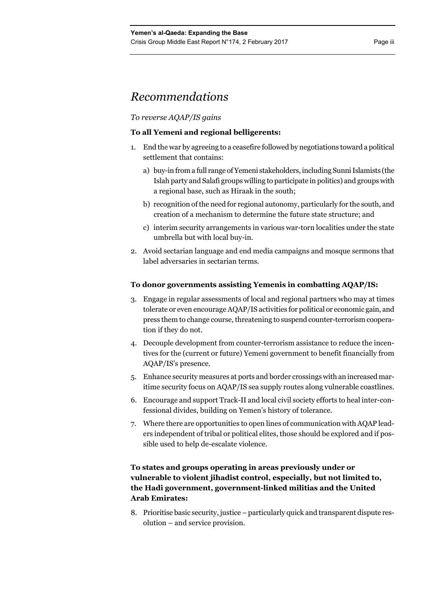## *Recommendations*

## *To reverse AQAP/IS gains*

## **To all Yemeni and regional belligerents:**

- 1. End the war by agreeing to a ceasefire followed by negotiations toward a political settlement that contains:
	- a) buy-in from a full range of Yemeni stakeholders, including Sunni Islamists (the Islah party and Salafi groups willing to participate in politics) and groups with a regional base, such as Hiraak in the south;
	- b) recognition of the need for regional autonomy, particularly for the south, and creation of a mechanism to determine the future state structure; and
	- c) interim security arrangements in various war-torn localities under the state umbrella but with local buy-in.
- 2. Avoid sectarian language and end media campaigns and mosque sermons that label adversaries in sectarian terms.

## **To donor governments assisting Yemenis in combatting AQAP/IS:**

- 3. Engage in regular assessments of local and regional partners who may at times tolerate or even encourage AQAP/IS activities for political or economic gain, and press them to change course, threatening to suspend counter-terrorism cooperation if they do not.
- 4. Decouple development from counter-terrorism assistance to reduce the incentives for the (current or future) Yemeni government to benefit financially from AQAP/IS's presence.
- 5. Enhance security measures at ports and border crossings with an increased maritime security focus on AQAP/IS sea supply routes along vulnerable coastlines.
- 6. Encourage and support Track-II and local civil society efforts to heal inter-confessional divides, building on Yemen's history of tolerance.
- 7. Where there are opportunities to open lines of communication with AQAP leaders independent of tribal or political elites, those should be explored and if possible used to help de-escalate violence.

## **To states and groups operating in areas previously under or vulnerable to violent jihadist control, especially, but not limited to, the Hadi government, government-linked militias and the United Arab Emirates:**

8. Prioritise basic security, justice – particularly quick and transparent dispute resolution – and service provision.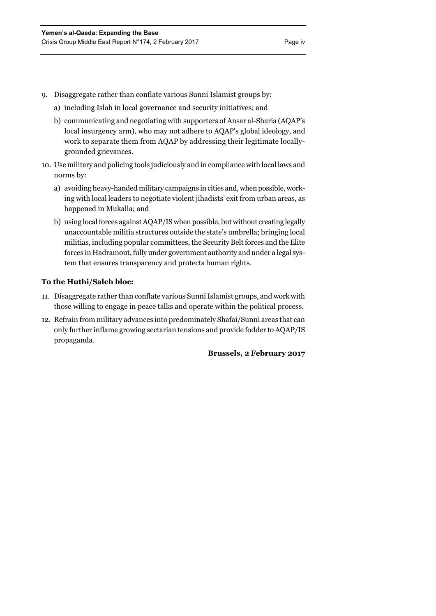- 9. Disaggregate rather than conflate various Sunni Islamist groups by:
	- a) including Islah in local governance and security initiatives; and
	- b) communicating and negotiating with supporters of Ansar al-Sharia (AQAP's local insurgency arm), who may not adhere to AQAP's global ideology, and work to separate them from AQAP by addressing their legitimate locallygrounded grievances.
- 10. Use military and policing tools judiciously and in compliance with local laws and norms by:
	- a) avoiding heavy-handed military campaigns in cities and, when possible, working with local leaders to negotiate violent jihadists' exit from urban areas, as happened in Mukalla; and
	- b) using local forces against AQAP/IS when possible, but without creating legally unaccountable militia structures outside the state's umbrella; bringing local militias, including popular committees, the Security Belt forces and the Elite forces in Hadramout, fully under government authority and under a legal system that ensures transparency and protects human rights.

## **To the Huthi/Saleh bloc:**

- 11. Disaggregate rather than conflate various Sunni Islamist groups, and work with those willing to engage in peace talks and operate within the political process.
- 12. Refrain from military advances into predominately Shafai/Sunni areas that can only further inflame growing sectarian tensions and provide fodder to AQAP/IS propaganda.

**Brussels, 2 February 2017**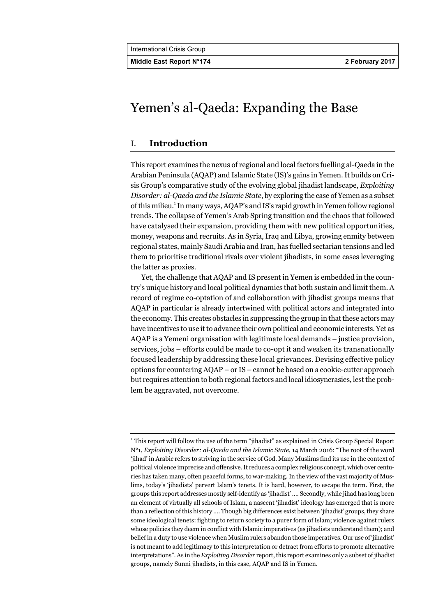**Middle East Report N°174 2 February 2017** 

## Yemen's al-Qaeda: Expanding the Base

## I. **Introduction**

This report examines the nexus of regional and local factors fuelling al-Qaeda in the Arabian Peninsula (AQAP) and Islamic State (IS)'s gains in Yemen. It builds on Crisis Group's comparative study of the evolving global jihadist landscape, *Exploiting Disorder: al-Qaeda and the Islamic State*, by exploring the case of Yemen as a subset of this milieu.<sup>1</sup> In many ways, AQAP's and IS's rapid growth in Yemen follow regional trends. The collapse of Yemen's Arab Spring transition and the chaos that followed have catalysed their expansion, providing them with new political opportunities, money, weapons and recruits. As in Syria, Iraq and Libya, growing enmity between regional states, mainly Saudi Arabia and Iran, has fuelled sectarian tensions and led them to prioritise traditional rivals over violent jihadists, in some cases leveraging the latter as proxies.

Yet, the challenge that AQAP and IS present in Yemen is embedded in the country's unique history and local political dynamics that both sustain and limit them. A record of regime co-optation of and collaboration with jihadist groups means that AQAP in particular is already intertwined with political actors and integrated into the economy. This creates obstacles in suppressing the group in that these actors may have incentives to use it to advance their own political and economic interests. Yet as AQAP is a Yemeni organisation with legitimate local demands – justice provision, services, jobs – efforts could be made to co-opt it and weaken its transnationally focused leadership by addressing these local grievances. Devising effective policy options for countering AQAP – or IS – cannot be based on a cookie-cutter approach but requires attention to both regional factors and local idiosyncrasies, lest the problem be aggravated, not overcome.

<sup>&</sup>lt;sup>1</sup> This report will follow the use of the term "jihadist" as explained in Crisis Group Special Report N°1, *Exploiting Disorder: al-Qaeda and the Islamic State*, 14 March 2016: "The root of the word 'jihad' in Arabic refers to striving in the service of God. Many Muslims find its use in the context of political violence imprecise and offensive. It reduces a complex religious concept, which over centuries has taken many, often peaceful forms, to war-making. In the view of the vast majority of Muslims, today's 'jihadists' pervert Islam's tenets. It is hard, however, to escape the term. First, the groups this report addresses mostly self-identify as 'jihadist' …. Secondly, while jihad has long been an element of virtually all schools of Islam, a nascent 'jihadist' ideology has emerged that is more than a reflection of this history …. Though big differences exist between 'jihadist' groups, they share some ideological tenets: fighting to return society to a purer form of Islam; violence against rulers whose policies they deem in conflict with Islamic imperatives (as jihadists understand them); and belief in a duty to use violence when Muslim rulers abandon those imperatives. Our use of 'jihadist' is not meant to add legitimacy to this interpretation or detract from efforts to promote alternative interpretations". As in the *Exploiting Disorder* report, this report examines only a subset of jihadist groups, namely Sunni jihadists, in this case, AQAP and IS in Yemen.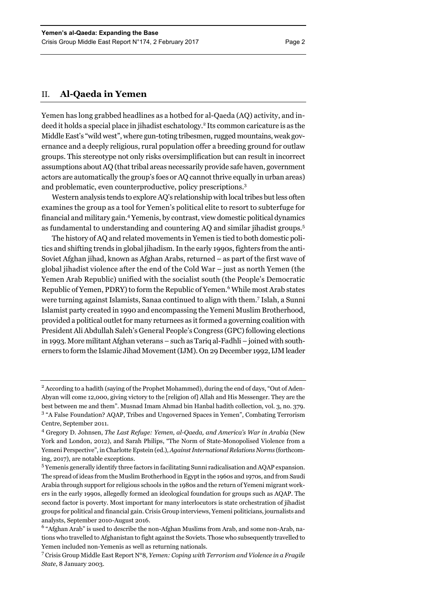Yemen has long grabbed headlines as a hotbed for al-Qaeda (AQ) activity, and indeed it holds a special place in jihadist eschatology.<sup>2</sup> Its common caricature is as the Middle East's "wild west", where gun-toting tribesmen, rugged mountains, weak governance and a deeply religious, rural population offer a breeding ground for outlaw groups. This stereotype not only risks oversimplification but can result in incorrect assumptions about AQ (that tribal areas necessarily provide safe haven, government actors are automatically the group's foes or AQ cannot thrive equally in urban areas) and problematic, even counterproductive, policy prescriptions.<sup>3</sup>

Western analysis tends to explore AQ's relationship with local tribes but less often examines the group as a tool for Yemen's political elite to resort to subterfuge for financial and military gain.<sup>4</sup> Yemenis, by contrast, view domestic political dynamics as fundamental to understanding and countering AQ and similar jihadist groups.<sup>5</sup>

The history of AQ and related movements in Yemen is tied to both domestic politics and shifting trends in global jihadism. In the early 1990s, fighters from the anti-Soviet Afghan jihad, known as Afghan Arabs, returned – as part of the first wave of global jihadist violence after the end of the Cold War – just as north Yemen (the Yemen Arab Republic) unified with the socialist south (the People's Democratic Republic of Yemen, PDRY) to form the Republic of Yemen.<sup>6</sup> While most Arab states were turning against Islamists, Sanaa continued to align with them.7 Islah, a Sunni Islamist party created in 1990 and encompassing the Yemeni Muslim Brotherhood, provided a political outlet for many returnees as it formed a governing coalition with President Ali Abdullah Saleh's General People's Congress (GPC) following elections in 1993. More militant Afghan veterans – such as Tariq al-Fadhli – joined with southerners to form the Islamic Jihad Movement (IJM). On 29 December 1992, IJM leader

<sup>&</sup>lt;sup>2</sup> According to a hadith (saying of the Prophet Mohammed), during the end of days, "Out of Aden-Abyan will come 12,000, giving victory to the [religion of] Allah and His Messenger. They are the best between me and them". Musnad Imam Ahmad bin Hanbal hadith collection, vol. 3, no. 379. <sup>3</sup> "A False Foundation? AQAP, Tribes and Ungoverned Spaces in Yemen", Combating Terrorism Centre, September 2011.

<sup>&</sup>lt;sup>4</sup> Gregory D. Johnsen, *The Last Refuge: Yemen, al-Qaeda, and America's War in Arabia* (New York and London, 2012), and Sarah Philips, "The Norm of State-Monopolised Violence from a Yemeni Perspective", in Charlotte Epstein (ed.), *Against International Relations Norms* (forthcoming, 2017), are notable exceptions.

<sup>&</sup>lt;sup>5</sup> Yemenis generally identify three factors in facilitating Sunni radicalisation and AQAP expansion. The spread of ideas from the Muslim Brotherhood in Egypt in the 1960s and 1970s, and from Saudi Arabia through support for religious schools in the 1980s and the return of Yemeni migrant workers in the early 1990s, allegedly formed an ideological foundation for groups such as AQAP. The second factor is poverty. Most important for many interlocutors is state orchestration of jihadist groups for political and financial gain. Crisis Group interviews, Yemeni politicians, journalists and analysts, September 2010-August 2016.

<sup>&</sup>lt;sup>6</sup> "Afghan Arab" is used to describe the non-Afghan Muslims from Arab, and some non-Arab, nations who travelled to Afghanistan to fight against the Soviets. Those who subsequently travelled to Yemen included non-Yemenis as well as returning nationals.

<sup>7</sup> Crisis Group Middle East Report N°8*, Yemen: Coping with Terrorism and Violence in a Fragile State*, 8 January 2003.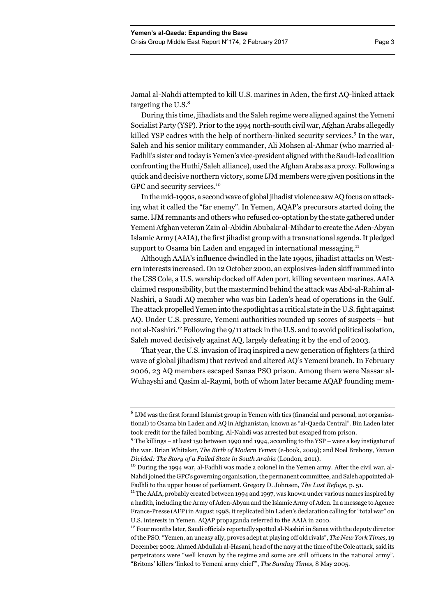During this time, jihadists and the Saleh regime were aligned against the Yemeni Socialist Party (YSP). Prior to the 1994 north-south civil war, Afghan Arabs allegedly killed YSP cadres with the help of northern-linked security services.<sup>9</sup> In the war, Saleh and his senior military commander, Ali Mohsen al-Ahmar (who married al-Fadhli's sister and today is Yemen's vice-president aligned with the Saudi-led coalition confronting the Huthi/Saleh alliance), used the Afghan Arabs as a proxy. Following a quick and decisive northern victory, some IJM members were given positions in the GPC and security services.<sup>10</sup>

In the mid-1990s, a second wave of global jihadist violence saw AQ focus on attacking what it called the "far enemy". In Yemen, AQAP's precursors started doing the same. IJM remnants and others who refused co-optation by the state gathered under Yemeni Afghan veteran Zain al-Abidin Abubakr al-Mihdar to create the Aden-Abyan Islamic Army (AAIA), the first jihadist group with a transnational agenda. It pledged support to Osama bin Laden and engaged in international messaging.<sup>11</sup>

Although AAIA's influence dwindled in the late 1990s, jihadist attacks on Western interests increased. On 12 October 2000, an explosives-laden skiff rammed into the USS Cole, a U.S. warship docked off Aden port, killing seventeen marines. AAIA claimed responsibility, but the mastermind behind the attack was Abd-al-Rahim al-Nashiri, a Saudi AQ member who was bin Laden's head of operations in the Gulf. The attack propelled Yemen into the spotlight as a critical state in the U.S. fight against AQ. Under U.S. pressure, Yemeni authorities rounded up scores of suspects – but not al-Nashiri.<sup>12</sup> Following the  $9/11$  attack in the U.S. and to avoid political isolation, Saleh moved decisively against AQ, largely defeating it by the end of 2003.

That year, the U.S. invasion of Iraq inspired a new generation of fighters (a third wave of global jihadism) that revived and altered AQ's Yemeni branch. In February 2006, 23 AQ members escaped Sanaa PSO prison. Among them were Nassar al-Wuhayshi and Qasim al-Raymi, both of whom later became AQAP founding mem-

<sup>&</sup>lt;sup>8</sup> LJM was the first formal Islamist group in Yemen with ties (financial and personal, not organisational) to Osama bin Laden and AQ in Afghanistan, known as "al-Qaeda Central". Bin Laden later took credit for the failed bombing. Al-Nahdi was arrested but escaped from prison.

 $9$  The killings – at least 150 between 1990 and 1994, according to the YSP – were a key instigator of the war. Brian Whitaker, *The Birth of Modern Yemen* (e-book, 2009); and Noel Brehony, *Yemen Divided: The Story of a Failed State in South Arabia* (London, 2011).<br><sup>10</sup> During the 1994 war, al-Fadhli was made a colonel in the Yemen army. After the civil war, al-

Nahdi joined the GPC's governing organisation, the permanent committee, and Saleh appointed al-Fadhli to the upper house of parliament. Gregory D. Johnsen, *The Last Refuge*, p. 51.

<sup>&</sup>lt;sup>11</sup> The AAIA, probably created between 1994 and 1997, was known under various names inspired by a hadith, including the Army of Aden-Abyan and the Islamic Army of Aden. In a message to Agence France-Presse (AFP) in August 1998, it replicated bin Laden's declaration calling for "total war" on

U.S. interests in Yemen. AQAP propaganda referred to the AAIA in 2010. 12 Four months later, Saudi officials reportedly spotted al-Nashiri in Sanaa with the deputy director of the PSO. "Yemen, an uneasy ally, proves adept at playing off old rivals", *The New York Times,* 19 December 2002. Ahmed Abdullah al-Hasani, head of the navy at the time of the Cole attack, said its perpetrators were "well known by the regime and some are still officers in the national army". "Britons' killers 'linked to Yemeni army chief'", *The Sunday Times*, 8 May 2005.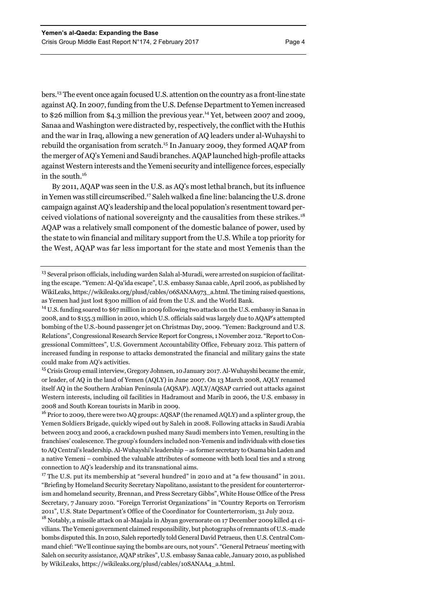bers.13 The event once again focused U.S. attention on the country as a front-line state against AQ. In 2007, funding from the U.S. Defense Department to Yemen increased to \$26 million from \$4.3 million the previous year.<sup>14</sup> Yet, between 2007 and 2009, Sanaa and Washington were distracted by, respectively, the conflict with the Huthis and the war in Iraq, allowing a new generation of AQ leaders under al-Wuhayshi to rebuild the organisation from scratch.15 In January 2009, they formed AQAP from the merger of AQ's Yemeni and Saudi branches. AQAP launched high-profile attacks against Western interests and the Yemeni security and intelligence forces, especially in the south.16

By 2011, AQAP was seen in the U.S. as AQ's most lethal branch, but its influence in Yemen was still circumscribed.<sup>17</sup> Saleh walked a fine line: balancing the U.S. drone campaign against AQ's leadership and the local population's resentment toward perceived violations of national sovereignty and the causalities from these strikes.<sup>18</sup> AQAP was a relatively small component of the domestic balance of power, used by the state to win financial and military support from the U.S. While a top priority for the West, AQAP was far less important for the state and most Yemenis than the

<sup>13</sup> Several prison officials, including warden Salah al-Muradi, were arrested on suspicion of facilitating the escape. "Yemen: Al-Qa'ida escape", U.S. embassy Sanaa cable, April 2006, as published by WikiLeaks, https://wikileaks.org/plusd/cables/06SANAA973\_a.html. The timing raised questions, as Yemen had just lost \$300 million of aid from the U.S. and the World Bank.

14 U.S. funding soared to \$67 million in 2009 following two attacks on the U.S. embassy in Sanaa in 2008, and to \$155.3 million in 2010, which U.S. officials said was largely due to AQAP's attempted bombing of the U.S.-bound passenger jet on Christmas Day, 2009. "Yemen: Background and U.S. Relations", Congressional Research Service Report for Congress, 1 November 2012. "Report to Congressional Committees", U.S. Government Accountability Office, February 2012. This pattern of increased funding in response to attacks demonstrated the financial and military gains the state could make from AQ's activities.

<sup>15</sup> Crisis Group email interview, Gregory Johnsen, 10 January 2017. Al-Wuhayshi became the emir, or leader, of AQ in the land of Yemen (AQLY) in June 2007. On 13 March 2008, AQLY renamed itself AQ in the Southern Arabian Peninsula (AQSAP). AQLY/AQSAP carried out attacks against Western interests, including oil facilities in Hadramout and Marib in 2006, the U.S. embassy in 2008 and South Korean tourists in Marib in 2009.

<sup>16</sup> Prior to 2009, there were two AQ groups: AQSAP (the renamed AQLY) and a splinter group, the Yemen Soldiers Brigade, quickly wiped out by Saleh in 2008. Following attacks in Saudi Arabia between 2003 and 2006, a crackdown pushed many Saudi members into Yemen, resulting in the franchises' coalescence. The group's founders included non-Yemenis and individuals with close ties to AQ Central's leadership. Al-Wuhayshi's leadership – as former secretary to Osama bin Laden and a native Yemeni – combined the valuable attributes of someone with both local ties and a strong connection to AQ's leadership and its transnational aims.

<sup>17</sup> The U.S. put its membership at "several hundred" in 2010 and at "a few thousand" in 2011. "Briefing by Homeland Security Secretary Napolitano, assistant to the president for counterterrorism and homeland security, Brennan, and Press Secretary Gibbs", White House Office of the Press Secretary, 7 January 2010. "Foreign Terrorist Organizations" in "Country Reports on Terrorism 2011", U.S. State Department's Office of the Coordinator for Counterterrorism, 31 July 2012.

<sup>18</sup> Notably, a missile attack on al-Maajala in Abyan governorate on 17 December 2009 killed 41 civilians. The Yemeni government claimed responsibility, but photographs of remnants of U.S.-made bombs disputed this. In 2010, Saleh reportedly told General David Petraeus, then U.S. Central Command chief: "We'll continue saying the bombs are ours, not yours". "General Petraeus' meeting with Saleh on security assistance, AQAP strikes", U.S. embassy Sanaa cable, January 2010, as published by WikiLeaks, https://wikileaks.org/plusd/cables/10SANAA4\_a.html.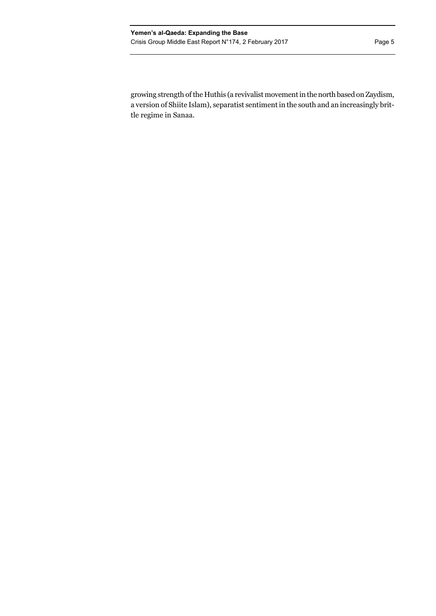growing strength of the Huthis (a revivalist movement in the north based on Zaydism, a version of Shiite Islam), separatist sentiment in the south and an increasingly brittle regime in Sanaa.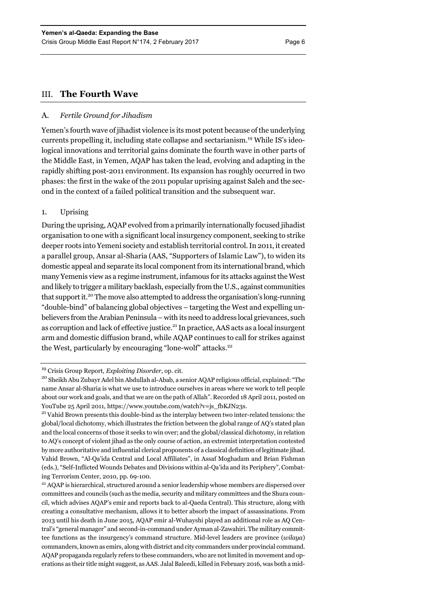## III. **The Fourth Wave**

## A. *Fertile Ground for Jihadism*

Yemen's fourth wave of jihadist violence is its most potent because of the underlying currents propelling it, including state collapse and sectarianism.19 While IS's ideological innovations and territorial gains dominate the fourth wave in other parts of the Middle East, in Yemen, AQAP has taken the lead, evolving and adapting in the rapidly shifting post-2011 environment. Its expansion has roughly occurred in two phases: the first in the wake of the 2011 popular uprising against Saleh and the second in the context of a failed political transition and the subsequent war.

## 1. Uprising

During the uprising, AQAP evolved from a primarily internationally focused jihadist organisation to one with a significant local insurgency component, seeking to strike deeper roots into Yemeni society and establish territorial control. In 2011, it created a parallel group, Ansar al-Sharia (AAS, "Supporters of Islamic Law"), to widen its domestic appeal and separate its local component from its international brand, which many Yemenis view as a regime instrument, infamous for its attacks against the West and likely to trigger a military backlash, especially from the U.S., against communities that support it.20 The move also attempted to address the organisation's long-running "double-bind" of balancing global objectives – targeting the West and expelling unbelievers from the Arabian Peninsula – with its need to address local grievances, such as corruption and lack of effective justice.21 In practice, AAS acts as a local insurgent arm and domestic diffusion brand, while AQAP continues to call for strikes against the West, particularly by encouraging "lone-wolf" attacks.<sup>22</sup>

global/local dichotomy, which illustrates the friction between the global range of AQ's stated plan and the local concerns of those it seeks to win over; and the global/classical dichotomy, in relation to AQ's concept of violent jihad as the only course of action, an extremist interpretation contested by more authoritative and influential clerical proponents of a classical definition of legitimate jihad. Vahid Brown, "Al‐Qa'ida Central and Local Affiliates", in Assaf Moghadam and Brian Fishman (eds.), "Self-Inflicted Wounds Debates and Divisions within al-Qa'ida and its Periphery", Combating Terrorism Center, 2010, pp. 69-100.

<sup>22</sup> AQAP is hierarchical, structured around a senior leadership whose members are dispersed over committees and councils (such as the media, security and military committees and the Shura council, which advises AQAP's emir and reports back to al-Qaeda Central). This structure, along with creating a consultative mechanism, allows it to better absorb the impact of assassinations. From 2013 until his death in June 2015, AQAP emir al-Wuhayshi played an additional role as AQ Central's "general manager" and second-in-command under Ayman al-Zawahiri. The military committee functions as the insurgency's command structure. Mid-level leaders are province (*wilaya*) commanders, known as emirs, along with district and city commanders under provincial command. AQAP propaganda regularly refers to these commanders, who are not limited in movement and operations as their title might suggest, as AAS. Jalal Baleedi, killed in February 2016, was both a mid-

<sup>&</sup>lt;sup>19</sup> Crisis Group Report, *Exploiting Disorder*, op. cit.<br><sup>20</sup> Sheikh Abu Zubayr Adel bin Abdullah al-Abab, a senior AQAP religious official, explained: "The name Ansar al-Sharia is what we use to introduce ourselves in areas where we work to tell people about our work and goals, and that we are on the path of Allah". Recorded 18 April 2011, posted on YouTube 25 April 2011, https://www.youtube.com/watch?v=js\_fbKJN23s.<br><sup>21</sup> Vahid Brown presents this double-bind as the interplay between two inter-related tensions: the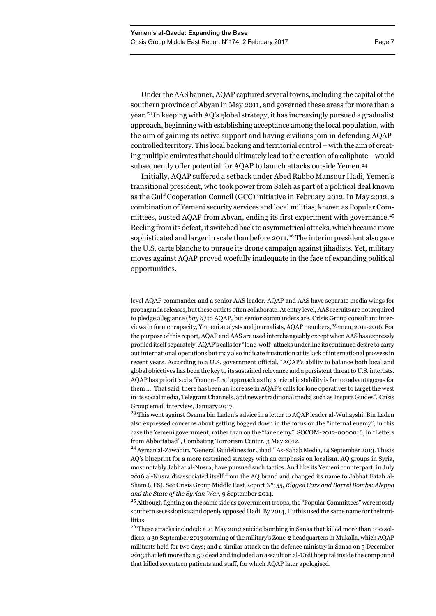Under the AAS banner, AQAP captured several towns, including the capital of the southern province of Abyan in May 2011, and governed these areas for more than a year.<sup>23</sup> In keeping with AQ's global strategy, it has increasingly pursued a gradualist approach, beginning with establishing acceptance among the local population, with the aim of gaining its active support and having civilians join in defending AQAPcontrolled territory. This local backing and territorial control – with the aim of creating multiple emirates that should ultimately lead to the creation of a caliphate – would subsequently offer potential for AQAP to launch attacks outside Yemen.<sup>24</sup>

Initially, AQAP suffered a setback under Abed Rabbo Mansour Hadi, Yemen's transitional president, who took power from Saleh as part of a political deal known as the Gulf Cooperation Council (GCC) initiative in February 2012. In May 2012, a combination of Yemeni security services and local militias, known as Popular Committees, ousted AQAP from Abyan, ending its first experiment with governance.<sup>25</sup> Reeling from its defeat, it switched back to asymmetrical attacks, which became more sophisticated and larger in scale than before 2011.<sup>26</sup> The interim president also gave the U.S. carte blanche to pursue its drone campaign against jihadists. Yet, military moves against AQAP proved woefully inadequate in the face of expanding political opportunities.

level AQAP commander and a senior AAS leader. AQAP and AAS have separate media wings for propaganda releases, but these outlets often collaborate. At entry level, AAS recruits are not required to pledge allegiance (*bay'a)* to AQAP, but senior commanders are. Crisis Group consultant interviews in former capacity, Yemeni analysts and journalists, AQAP members, Yemen, 2011-2016. For the purpose of this report, AQAP and AAS are used interchangeably except when AAS has expressly profiled itself separately. AQAP's calls for "lone-wolf" attacks underline its continued desire to carry out international operations but may also indicate frustration at its lack of international prowess in recent years. According to a U.S. government official, "AQAP's ability to balance both local and global objectives has been the key to its sustained relevance and a persistent threat to U.S. interests. AQAP has prioritised a 'Yemen-first' approach as the societal instability is far too advantageous for them …. That said, there has been an increase in AQAP's calls for lone operatives to target the west in its social media, Telegram Channels, and newer traditional media such as Inspire Guides". Crisis Group email interview, January 2017.

<sup>&</sup>lt;sup>23</sup> This went against Osama bin Laden's advice in a letter to AOAP leader al-Wuhayshi. Bin Laden also expressed concerns about getting bogged down in the focus on the "internal enemy", in this case the Yemeni government, rather than on the "far enemy". SOCOM-2012-0000016, in "Letters from Abbottabad", Combating Terrorism Center, 3 May 2012.

<sup>&</sup>lt;sup>24</sup> Ayman al-Zawahiri, "General Guidelines for Jihad," As-Sahab Media, 14 September 2013. This is AQ's blueprint for a more restrained strategy with an emphasis on localism. AQ groups in Syria, most notably Jabhat al-Nusra, have pursued such tactics. And like its Yemeni counterpart, in July 2016 al-Nusra disassociated itself from the AQ brand and changed its name to Jabhat Fatah al-Sham (JFS). See Crisis Group Middle East Report N°155, *Rigged Cars and Barrel Bombs: Aleppo and the State of the Syrian War*, 9 September 2014.

<sup>&</sup>lt;sup>25</sup> Although fighting on the same side as government troops, the "Popular Committees" were mostly southern secessionists and openly opposed Hadi. By 2014, Huthis used the same name for their mi**litias** 

<sup>&</sup>lt;sup>26</sup> These attacks included: a 21 May 2012 suicide bombing in Sanaa that killed more than 100 soldiers; a 30 September 2013 storming of the military's Zone-2 headquarters in Mukalla, which AQAP militants held for two days; and a similar attack on the defence ministry in Sanaa on 5 December 2013 that left more than 50 dead and included an assault on al-Urdi hospital inside the compound that killed seventeen patients and staff, for which AQAP later apologised.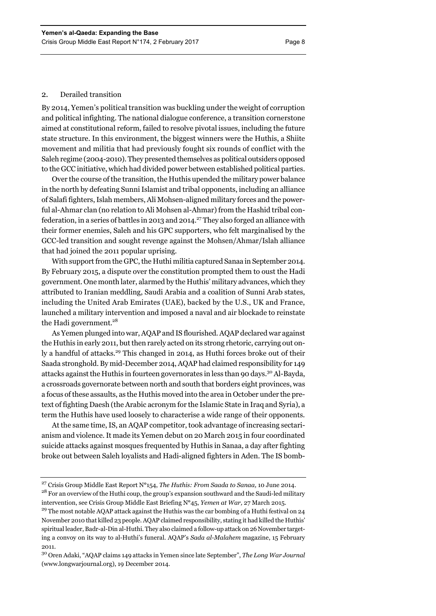## 2. Derailed transition

By 2014, Yemen's political transition was buckling under the weight of corruption and political infighting. The national dialogue conference, a transition cornerstone aimed at constitutional reform, failed to resolve pivotal issues, including the future state structure. In this environment, the biggest winners were the Huthis, a Shiite movement and militia that had previously fought six rounds of conflict with the Saleh regime (2004-2010). They presented themselves as political outsiders opposed to the GCC initiative, which had divided power between established political parties.

Over the course of the transition, the Huthis upended the military power balance in the north by defeating Sunni Islamist and tribal opponents, including an alliance of Salafi fighters, Islah members, Ali Mohsen-aligned military forces and the powerful al-Ahmar clan (no relation to Ali Mohsen al-Ahmar) from the Hashid tribal confederation, in a series of battles in 2013 and 2014.<sup>27</sup> They also forged an alliance with their former enemies, Saleh and his GPC supporters, who felt marginalised by the GCC-led transition and sought revenge against the Mohsen/Ahmar/Islah alliance that had joined the 2011 popular uprising.

With support from the GPC, the Huthi militia captured Sanaa in September 2014. By February 2015, a dispute over the constitution prompted them to oust the Hadi government. One month later, alarmed by the Huthis' military advances, which they attributed to Iranian meddling, Saudi Arabia and a coalition of Sunni Arab states, including the United Arab Emirates (UAE), backed by the U.S., UK and France, launched a military intervention and imposed a naval and air blockade to reinstate the Hadi government.<sup>28</sup>

As Yemen plunged into war, AQAP and IS flourished. AQAP declared war against the Huthis in early 2011, but then rarely acted on its strong rhetoric, carrying out only a handful of attacks.<sup>29</sup> This changed in 2014, as Huthi forces broke out of their Saada stronghold. By mid-December 2014, AQAP had claimed responsibility for 149 attacks against the Huthis in fourteen governorates in less than 90 days.30 Al-Bayda, a crossroads governorate between north and south that borders eight provinces, was a focus of these assaults, as the Huthis moved into the area in October under the pretext of fighting Daesh (the Arabic acronym for the Islamic State in Iraq and Syria), a term the Huthis have used loosely to characterise a wide range of their opponents.

At the same time, IS, an AQAP competitor, took advantage of increasing sectarianism and violence. It made its Yemen debut on 20 March 2015 in four coordinated suicide attacks against mosques frequented by Huthis in Sanaa, a day after fighting broke out between Saleh loyalists and Hadi-aligned fighters in Aden. The IS bomb-

<sup>27</sup> Crisis Group Middle East Report N**°**154, *The Huthis: From Saada to Sanaa,* 10 June 2014. <sup>28</sup> For an overview of the Huthi coup, the group's expansion southward and the Saudi-led military intervention, see Crisis Group Middle East Briefing N**°**45, *Yemen at War,* 27 March 2015.

<sup>&</sup>lt;sup>29</sup> The most notable AOAP attack against the Huthis was the car bombing of a Huthi festival on 24 November 2010 that killed 23 people. AQAP claimed responsibility, stating it had killed the Huthis' spiritual leader, Badr-al-Din al-Huthi. They also claimed a follow-up attack on 26 November targeting a convoy on its way to al-Huthi's funeral. AQAP's *Sada al-Malahem* magazine, 15 February 2011.

<sup>30</sup> Oren Adaki, "AQAP claims 149 attacks in Yemen since late September", *The Long War Journal* (www.longwarjournal.org), 19 December 2014.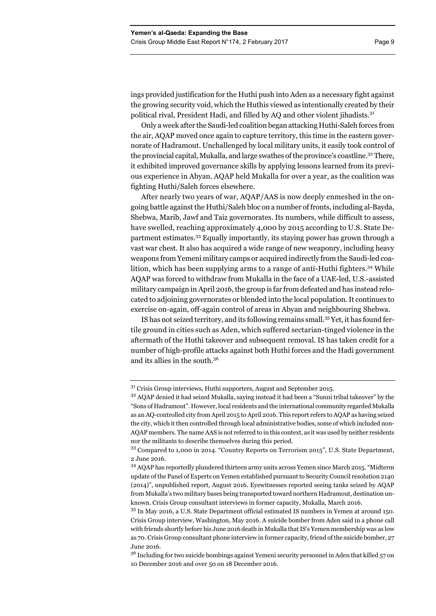ings provided justification for the Huthi push into Aden as a necessary fight against the growing security void, which the Huthis viewed as intentionally created by their political rival, President Hadi, and filled by AQ and other violent jihadists.<sup>31</sup>

Only a week after the Saudi-led coalition began attacking Huthi-Saleh forces from the air, AQAP moved once again to capture territory, this time in the eastern governorate of Hadramout. Unchallenged by local military units, it easily took control of the provincial capital, Mukalla, and large swathes of the province's coastline.<sup>32</sup> There, it exhibited improved governance skills by applying lessons learned from its previous experience in Abyan. AQAP held Mukalla for over a year, as the coalition was fighting Huthi/Saleh forces elsewhere.

After nearly two years of war, AQAP/AAS is now deeply enmeshed in the ongoing battle against the Huthi/Saleh bloc on a number of fronts, including al-Bayda, Shebwa, Marib, Jawf and Taiz governorates. Its numbers, while difficult to assess, have swelled, reaching approximately 4,000 by 2015 according to U.S. State Department estimates.33 Equally importantly, its staying power has grown through a vast war chest. It also has acquired a wide range of new weaponry, including heavy weapons from Yemeni military camps or acquired indirectly from the Saudi-led coalition, which has been supplying arms to a range of anti-Huthi fighters.<sup>34</sup> While AQAP was forced to withdraw from Mukalla in the face of a UAE-led, U.S.-assisted military campaign in April 2016, the group is far from defeated and has instead relocated to adjoining governorates or blended into the local population. It continues to exercise on-again, off-again control of areas in Abyan and neighbouring Shebwa.

IS has not seized territory, and its following remains small.35 Yet, it has found fertile ground in cities such as Aden, which suffered sectarian-tinged violence in the aftermath of the Huthi takeover and subsequent removal. IS has taken credit for a number of high-profile attacks against both Huthi forces and the Hadi government and its allies in the south.36

<sup>36</sup> Including for two suicide bombings against Yemeni security personnel in Aden that killed 57 on 10 December 2016 and over 50 on 18 December 2016.

<sup>&</sup>lt;sup>31</sup> Crisis Group interviews, Huthi supporters, August and September 2015.

<sup>&</sup>lt;sup>32</sup> AQAP denied it had seized Mukalla, saying instead it had been a "Sunni tribal takeover" by the "Sons of Hadramout". However, local residents and the international community regarded Mukalla as an AQ-controlled city from April 2015 to April 2016. This report refers to AQAP as having seized the city, which it then controlled through local administrative bodies, some of which included non-AQAP members. The name AAS is not referred to in this context, as it was used by neither residents nor the militants to describe themselves during this period.

<sup>33</sup> Compared to 1,000 in 2014. "Country Reports on Terrorism 2015", U.S. State Department, 2 June 2016.

<sup>34</sup> AQAP has reportedly plundered thirteen army units across Yemen since March 2015. "Midterm update of the Panel of Experts on Yemen established pursuant to Security Council resolution 2140 (2014)", unpublished report, August 2016. Eyewitnesses reported seeing tanks seized by AQAP from Mukalla's two military bases being transported toward northern Hadramout, destination unknown. Crisis Group consultant interviews in former capacity, Mukalla, March 2016.

<sup>35</sup> In May 2016, a U.S. State Department official estimated IS numbers in Yemen at around 150. Crisis Group interview, Washington, May 2016. A suicide bomber from Aden said in a phone call with friends shortly before his June 2016 death in Mukalla that IS's Yemen membership was as low as 70. Crisis Group consultant phone interview in former capacity, friend of the suicide bomber, 27 June 2016.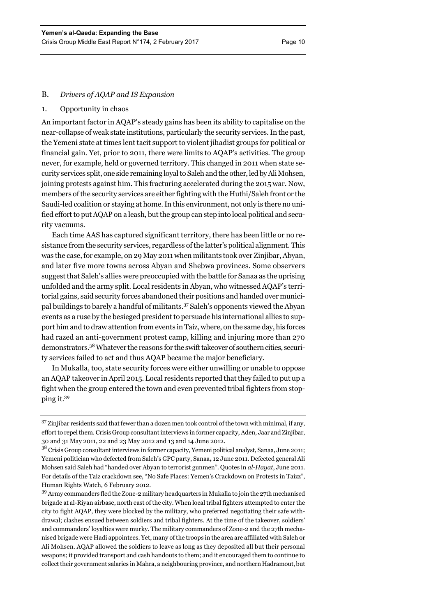## B. *Drivers of AQAP and IS Expansion*

### 1. Opportunity in chaos

An important factor in AQAP's steady gains has been its ability to capitalise on the near-collapse of weak state institutions, particularly the security services. In the past, the Yemeni state at times lent tacit support to violent jihadist groups for political or financial gain. Yet, prior to 2011, there were limits to AQAP's activities. The group never, for example, held or governed territory. This changed in 2011 when state security services split, one side remaining loyal to Saleh and the other, led by Ali Mohsen, joining protests against him. This fracturing accelerated during the 2015 war. Now, members of the security services are either fighting with the Huthi/Saleh front or the Saudi-led coalition or staying at home. In this environment, not only is there no unified effort to put AQAP on a leash, but the group can step into local political and security vacuums.

Each time AAS has captured significant territory, there has been little or no resistance from the security services, regardless of the latter's political alignment. This was the case, for example, on 29 May 2011 when militants took over Zinjibar, Abyan, and later five more towns across Abyan and Shebwa provinces. Some observers suggest that Saleh's allies were preoccupied with the battle for Sanaa as the uprising unfolded and the army split. Local residents in Abyan, who witnessed AQAP's territorial gains, said security forces abandoned their positions and handed over municipal buildings to barely a handful of militants.37 Saleh's opponents viewed the Abyan events as a ruse by the besieged president to persuade his international allies to support him and to draw attention from events in Taiz, where, on the same day, his forces had razed an anti-government protest camp, killing and injuring more than 270 demonstrators.38 Whatever the reasons for the swift takeover of southern cities, security services failed to act and thus AQAP became the major beneficiary.

In Mukalla, too, state security forces were either unwilling or unable to oppose an AQAP takeover in April 2015. Local residents reported that they failed to put up a fight when the group entered the town and even prevented tribal fighters from stopping it.39

<sup>39</sup> Army commanders fled the Zone-2 military headquarters in Mukalla to join the 27th mechanised brigade at al-Riyan airbase, north east of the city. When local tribal fighters attempted to enter the city to fight AQAP, they were blocked by the military, who preferred negotiating their safe withdrawal; clashes ensued between soldiers and tribal fighters. At the time of the takeover, soldiers' and commanders' loyalties were murky. The military commanders of Zone-2 and the 27th mechanised brigade were Hadi appointees. Yet, many of the troops in the area are affiliated with Saleh or Ali Mohsen. AQAP allowed the soldiers to leave as long as they deposited all but their personal weapons; it provided transport and cash handouts to them; and it encouraged them to continue to collect their government salaries in Mahra, a neighbouring province, and northern Hadramout, but

 $37$  Zinjibar residents said that fewer than a dozen men took control of the town with minimal, if any, effort to repel them. Crisis Group consultant interviews in former capacity, Aden, Jaar and Zinjibar, 30 and 31 May 2011, 22 and 23 May 2012 and 13 and 14 June 2012.

<sup>38</sup> Crisis Group consultant interviews in former capacity, Yemeni political analyst, Sanaa, June 2011; Yemeni politician who defected from Saleh's GPC party, Sanaa**,** 12 June 2011. Defected general Ali Mohsen said Saleh had "handed over Abyan to terrorist gunmen". Quotes in *al-Hayat*, June 2011*.*  For details of the Taiz crackdown see, "No Safe Places: Yemen's Crackdown on Protests in Taizz", Human Rights Watch, 6 February 2012.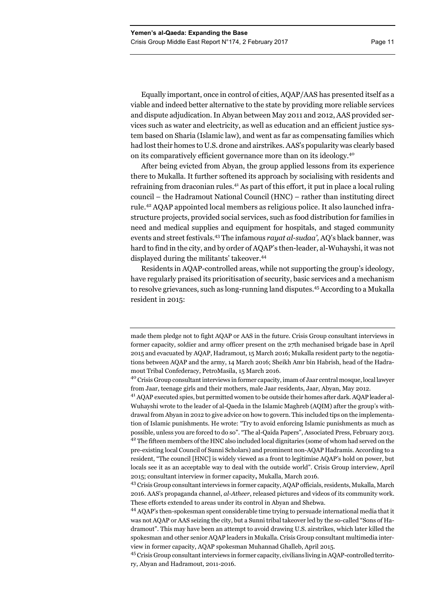Equally important, once in control of cities, AQAP/AAS has presented itself as a viable and indeed better alternative to the state by providing more reliable services and dispute adjudication. In Abyan between May 2011 and 2012, AAS provided services such as water and electricity, as well as education and an efficient justice system based on Sharia (Islamic law), and went as far as compensating families which had lost their homes to U.S. drone and airstrikes. AAS's popularity was clearly based on its comparatively efficient governance more than on its ideology.<sup>40</sup>

After being evicted from Abyan, the group applied lessons from its experience there to Mukalla. It further softened its approach by socialising with residents and refraining from draconian rules.41 As part of this effort, it put in place a local ruling council – the Hadramout National Council (HNC) – rather than instituting direct rule.42 AQAP appointed local members as religious police. It also launched infrastructure projects, provided social services, such as food distribution for families in need and medical supplies and equipment for hospitals, and staged community events and street festivals.43 The infamous *rayat al-sudaa',* AQ's black banner, was hard to find in the city, and by order of AQAP's then-leader, al-Wuhayshi, it was not displayed during the militants' takeover.44

Residents in AQAP-controlled areas, while not supporting the group's ideology, have regularly praised its prioritisation of security, basic services and a mechanism to resolve grievances, such as long-running land disputes.45 According to a Mukalla resident in 2015:

made them pledge not to fight AQAP or AAS in the future. Crisis Group consultant interviews in former capacity, soldier and army officer present on the 27th mechanised brigade base in April 2015 and evacuated by AQAP, Hadramout, 15 March 2016; Mukalla resident party to the negotiations between AQAP and the army, 14 March 2016; Sheikh Amr bin Habrish, head of the Hadramout Tribal Confederacy, PetroMasila, 15 March 2016.

<sup>40</sup> Crisis Group consultant interviews in former capacity, imam of Jaar central mosque, local lawyer from Jaar, teenage girls and their mothers, male Jaar residents, Jaar, Abyan, May 2012.

<sup>41</sup> AQAP executed spies, but permitted women to be outside their homes after dark. AQAP leader al-Wuhayshi wrote to the leader of al-Qaeda in the Islamic Maghreb (AQIM) after the group's withdrawal from Abyan in 2012 to give advice on how to govern. This included tips on the implementation of Islamic punishments. He wrote: "Try to avoid enforcing Islamic punishments as much as possible, unless you are forced to do so". "The al-Qaida Papers", Associated Press, February 2013.  $4<sup>2</sup>$  The fifteen members of the HNC also included local dignitaries (some of whom had served on the pre-existing local Council of Sunni Scholars) and prominent non-AQAP Hadramis. According to a resident, "The council [HNC] is widely viewed as a front to legitimise AQAP's hold on power, but locals see it as an acceptable way to deal with the outside world". Crisis Group interview, April 2015; consultant interview in former capacity**,** Mukalla, March 2016.

<sup>&</sup>lt;sup>43</sup> Crisis Group consultant interviews in former capacity, AQAP officials, residents, Mukalla, March 2016. AAS's propaganda channel, *al-Atheer*, released pictures and videos of its community work. These efforts extended to areas under its control in Abyan and Shebwa.

<sup>44</sup> AQAP's then-spokesman spent considerable time trying to persuade international media that it was not AQAP or AAS seizing the city, but a Sunni tribal takeover led by the so-called "Sons of Hadramout". This may have been an attempt to avoid drawing U.S. airstrikes, which later killed the spokesman and other senior AQAP leaders in Mukalla. Crisis Group consultant multimedia interview in former capacity, AQAP spokesman Muhannad Ghalleb, April 2015.

<sup>45</sup> Crisis Group consultant interviews in former capacity, civilians living in AQAP-controlled territory, Abyan and Hadramout, 2011-2016.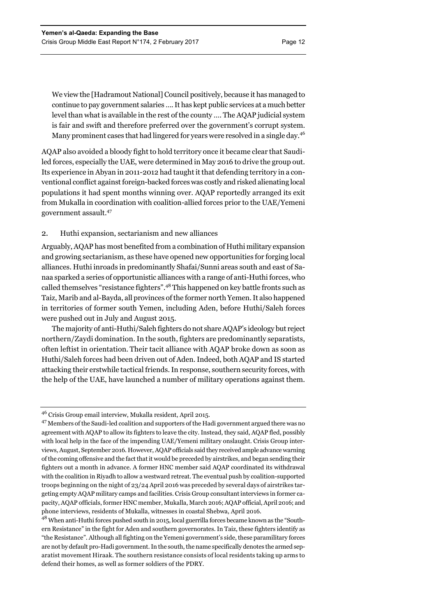We view the [Hadramout National] Council positively, because it has managed to continue to pay government salaries …. It has kept public services at a much better level than what is available in the rest of the county …. The AQAP judicial system is fair and swift and therefore preferred over the government's corrupt system. Many prominent cases that had lingered for years were resolved in a single day.<sup>46</sup>

AQAP also avoided a bloody fight to hold territory once it became clear that Saudiled forces, especially the UAE, were determined in May 2016 to drive the group out. Its experience in Abyan in 2011-2012 had taught it that defending territory in a conventional conflict against foreign-backed forces was costly and risked alienating local populations it had spent months winning over. AQAP reportedly arranged its exit from Mukalla in coordination with coalition-allied forces prior to the UAE/Yemeni government assault.47

## 2. Huthi expansion, sectarianism and new alliances

Arguably, AQAP has most benefited from a combination of Huthi military expansion and growing sectarianism, as these have opened new opportunities for forging local alliances. Huthi inroads in predominantly Shafai/Sunni areas south and east of Sanaa sparked a series of opportunistic alliances with a range of anti-Huthi forces, who called themselves "resistance fighters".48 This happened on key battle fronts such as Taiz, Marib and al-Bayda, all provinces of the former north Yemen. It also happened in territories of former south Yemen, including Aden, before Huthi/Saleh forces were pushed out in July and August 2015.

The majority of anti-Huthi/Saleh fighters do not share AQAP's ideology but reject northern/Zaydi domination. In the south, fighters are predominantly separatists, often leftist in orientation. Their tacit alliance with AQAP broke down as soon as Huthi/Saleh forces had been driven out of Aden. Indeed, both AQAP and IS started attacking their erstwhile tactical friends. In response, southern security forces, with the help of the UAE, have launched a number of military operations against them.

<sup>46</sup> Crisis Group email interview, Mukalla resident, April 2015.

<sup>&</sup>lt;sup>47</sup> Members of the Saudi-led coalition and supporters of the Hadi government argued there was no agreement with AQAP to allow its fighters to leave the city. Instead, they said, AQAP fled, possibly with local help in the face of the impending UAE/Yemeni military onslaught. Crisis Group interviews, August, September 2016. However, AQAP officials said they received ample advance warning of the coming offensive and the fact that it would be preceded by airstrikes, and began sending their fighters out a month in advance. A former HNC member said AQAP coordinated its withdrawal with the coalition in Riyadh to allow a westward retreat. The eventual push by coalition-supported troops beginning on the night of 23/24 April 2016 was preceded by several days of airstrikes targeting empty AQAP military camps and facilities. Crisis Group consultant interviews in former capacity, AQAP officials, former HNC member, Mukalla, March 2016; AQAP official, April 2016; and phone interviews, residents of Mukalla, witnesses in coastal Shebwa, April 2016.

<sup>&</sup>lt;sup>48</sup> When anti-Huthi forces pushed south in 2015, local guerrilla forces became known as the "Southern Resistance" in the fight for Aden and southern governorates. In Taiz, these fighters identify as "the Resistance". Although all fighting on the Yemeni government's side, these paramilitary forces are not by default pro-Hadi government. In the south, the name specifically denotes the armed separatist movement Hiraak. The southern resistance consists of local residents taking up arms to defend their homes, as well as former soldiers of the PDRY.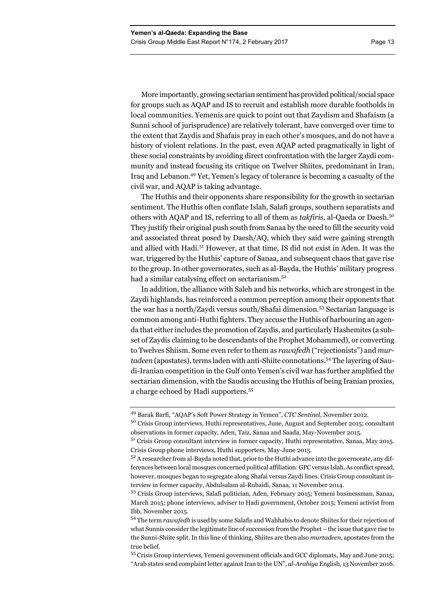More importantly, growing sectarian sentiment has provided political/social space for groups such as AQAP and IS to recruit and establish more durable footholds in local communities. Yemenis are quick to point out that Zaydism and Shafaism (a Sunni school of jurisprudence) are relatively tolerant, have converged over time to the extent that Zaydis and Shafais pray in each other's mosques, and do not have a history of violent relations. In the past, even AQAP acted pragmatically in light of these social constraints by avoiding direct confrontation with the larger Zaydi community and instead focusing its critique on Twelver Shiites, predominant in Iran, Iraq and Lebanon.49 Yet, Yemen's legacy of tolerance is becoming a casualty of the civil war, and AQAP is taking advantage.

The Huthis and their opponents share responsibility for the growth in sectarian sentiment. The Huthis often conflate Islah, Salafi groups, southern separatists and others with AQAP and IS, referring to all of them as *takfiris,* al-Qaeda or Daesh.<sup>50</sup> They justify their original push south from Sanaa by the need to fill the security void and associated threat posed by Daesh/AQ, which they said were gaining strength and allied with Hadi.51 However, at that time, IS did not exist in Aden. It was the war, triggered by the Huthis' capture of Sanaa, and subsequent chaos that gave rise to the group. In other governorates, such as al-Bayda, the Huthis' military progress had a similar catalysing effect on sectarianism.<sup>52</sup>

In addition, the alliance with Saleh and his networks, which are strongest in the Zaydi highlands, has reinforced a common perception among their opponents that the war has a north/Zaydi versus south/Shafai dimension.53 Sectarian language is common among anti-Huthi fighters. They accuse the Huthis of harbouring an agenda that either includes the promotion of Zaydis, and particularly Hashemites (a subset of Zaydis claiming to be descendants of the Prophet Mohammed), or converting to Twelves Shiism. Some even refer to them as *rawafedh* ("rejectionists") and *murtadeen* (apostates), terms laden with anti-Shiite connotations.54 The layering of Saudi-Iranian competition in the Gulf onto Yemen's civil war has further amplified the sectarian dimension, with the Saudis accusing the Huthis of being Iranian proxies, a charge echoed by Hadi supporters.<sup>55</sup>

55 Crisis Group interviews, Yemeni government officials and GCC diplomats, May and June 2015; "Arab states send complaint letter against Iran to the UN", *al-Arabiya* English, 13 November 2016.

<sup>49</sup> Barak Barfi, "AQAP's Soft Power Strategy in Yemen", *CTC Sentinel,* November 2012.

<sup>&</sup>lt;sup>50</sup> Crisis Group interviews, Huthi representatives, June, August and September 2015; consultant observations in former capacity, Aden, Taiz, Sanaa and Saada, May-November 2015.

<sup>51</sup> Crisis Group consultant interview in former capacity, Huthi representative, Sanaa, May 2015. Crisis Group phone interviews, Huthi supporters, May-June 2015.

<sup>52</sup> A researcher from al-Bayda noted that, prior to the Huthi advance into the governorate, any differences between local mosques concerned political affiliation: GPC versus Islah. As conflict spread, however, mosques began to segregate along Shafai versus Zaydi lines. Crisis Group consultant interview in former capacity, Abdulsalam al-Rubaidi, Sanaa, 11 November 2014.

<sup>53</sup> Crisis Group interviews, Salafi politician, Aden, February 2015; Yemeni businessman, Sanaa, March 2015; phone interviews, adviser to Hadi government, October 2015; Yemeni activist from Ibb, November 2015.

<sup>54</sup> The term *rawafedh* is used by some Salafis and Wahhabis to denote Shiites for their rejection of what Sunnis consider the legitimate line of succession from the Prophet – the issue that gave rise to the Sunni-Shiite split. In this line of thinking, Shiites are then also *murtadeen*, apostates from the true belief.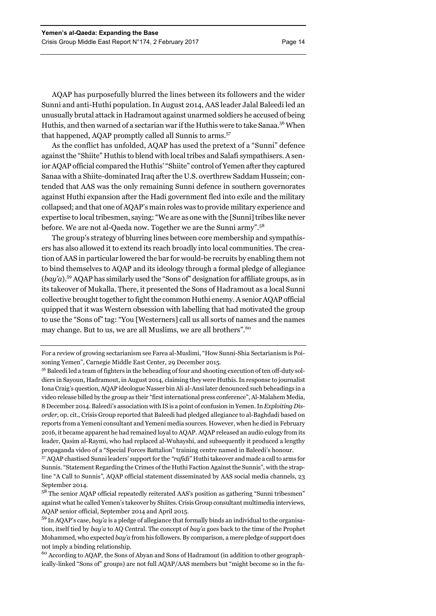AQAP has purposefully blurred the lines between its followers and the wider Sunni and anti-Huthi population. In August 2014, AAS leader Jalal Baleedi led an unusually brutal attack in Hadramout against unarmed soldiers he accused of being Huthis, and then warned of a sectarian war if the Huthis were to take Sanaa.56 When that happened, AQAP promptly called all Sunnis to arms.<sup>57</sup>

As the conflict has unfolded, AQAP has used the pretext of a "Sunni" defence against the "Shiite" Huthis to blend with local tribes and Salafi sympathisers. A senior AQAP official compared the Huthis' "Shiite" control of Yemen after they captured Sanaa with a Shiite-dominated Iraq after the U.S. overthrew Saddam Hussein; contended that AAS was the only remaining Sunni defence in southern governorates against Huthi expansion after the Hadi government fled into exile and the military collapsed; and that one of AQAP's main roles was to provide military experience and expertise to local tribesmen, saying: "We are as one with the [Sunni] tribes like never before. We are not al-Qaeda now. Together we are the Sunni army".58

The group's strategy of blurring lines between core membership and sympathisers has also allowed it to extend its reach broadly into local communities. The creation of AAS in particular lowered the bar for would-be recruits by enabling them not to bind themselves to AQAP and its ideology through a formal pledge of allegiance (*bay'a*).59 AQAP has similarly used the "Sons of" designation for affiliate groups, as in its takeover of Mukalla. There, it presented the Sons of Hadramout as a local Sunni collective brought together to fight the common Huthi enemy. A senior AQAP official quipped that it was Western obsession with labelling that had motivated the group to use the "Sons of" tag: "You [Westerners] call us all sorts of names and the names may change. But to us, we are all Muslims, we are all brothers".<sup>60</sup>

<sup>60</sup> According to AQAP, the Sons of Abyan and Sons of Hadramout (in addition to other geographically-linked "Sons of" groups) are not full AQAP/AAS members but "might become so in the fu-

For a review of growing sectarianism see Farea al-Muslimi, "How Sunni-Shia Sectarianism is Poisoning Yemen", Carnegie Middle East Center, 29 December 2015.

<sup>56</sup> Baleedi led a team of fighters in the beheading of four and shooting execution of ten off-duty soldiers in Sayoun, Hadramout, in August 2014, claiming they were Huthis. In response to journalist Iona Craig's question, AQAP ideologue Nasser bin Ali al-Ansi later denounced such beheadings in a video release billed by the group as their "first international press conference", Al-Malahem Media, 8 December 2014. Baleedi's association with IS is a point of confusion in Yemen. In *Exploiting Disorder,* op. cit.*,* Crisis Group reported that Baleedi had pledged allegiance to al-Baghdadi based on reports from a Yemeni consultant and Yemeni media sources. However, when he died in February 2016, it became apparent he had remained loyal to AQAP. AQAP released an audio eulogy from its leader, Qasim al-Raymi, who had replaced al-Wuhayshi, and subsequently it produced a lengthy propaganda video of a "Special Forces Battalion" training centre named in Baleedi's honour.

<sup>57</sup> AQAP chastised Sunni leaders' support for the *"rafidi"* Huthi takeover and made a call to arms for Sunnis. "Statement Regarding the Crimes of the Huthi Faction Against the Sunnis", with the strapline "A Call to Sunnis*"*, AQAP official statement disseminated by AAS social media channels, 23 September 2014.

<sup>&</sup>lt;sup>58</sup> The senior AQAP official repeatedly reiterated AAS's position as gathering "Sunni tribesmen" against what he called Yemen's takeover by Shiites. Crisis Group consultant multimedia interviews, AQAP senior official, September 2014 and April 2015.

<sup>59</sup> In AQAP's case, *bay'a* is a pledge of allegiance that formally binds an individual to the organisation, itself tied by *bay'a* to AQ Central. The concept of *bay'a* goes back to the time of the Prophet Mohammed, who expected *bay'a* from his followers. By comparison, a mere pledge of support does not imply a binding relationship.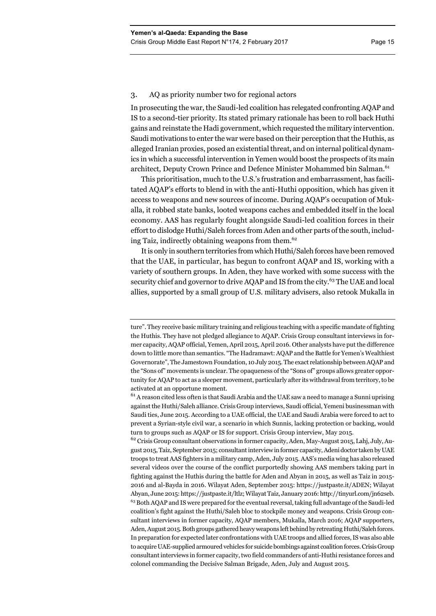## 3. AQ as priority number two for regional actors

In prosecuting the war, the Saudi-led coalition has relegated confronting AQAP and IS to a second-tier priority. Its stated primary rationale has been to roll back Huthi gains and reinstate the Hadi government, which requested the military intervention. Saudi motivations to enter the war were based on their perception that the Huthis, as alleged Iranian proxies, posed an existential threat, and on internal political dynamics in which a successful intervention in Yemen would boost the prospects of its main architect, Deputy Crown Prince and Defence Minister Mohammed bin Salman.<sup>61</sup>

This prioritisation, much to the U.S.'s frustration and embarrassment, has facilitated AQAP's efforts to blend in with the anti-Huthi opposition, which has given it access to weapons and new sources of income. During AQAP's occupation of Mukalla, it robbed state banks, looted weapons caches and embedded itself in the local economy. AAS has regularly fought alongside Saudi-led coalition forces in their effort to dislodge Huthi/Saleh forces from Aden and other parts of the south, including Taiz, indirectly obtaining weapons from them.<sup>62</sup>

It is only in southern territories from which Huthi/Saleh forces have been removed that the UAE, in particular, has begun to confront AQAP and IS, working with a variety of southern groups. In Aden, they have worked with some success with the security chief and governor to drive AQAP and IS from the city.<sup>63</sup> The UAE and local allies, supported by a small group of U.S. military advisers, also retook Mukalla in

 $62$  Crisis Group consultant observations in former capacity, Aden, May-August 2015, Lahj, July, August 2015, Taiz, September 2015; consultant interview in former capacity, Adeni doctor taken by UAE troops to treat AAS fighters in a military camp, Aden, July 2015. AAS's media wing has also released several videos over the course of the conflict purportedly showing AAS members taking part in fighting against the Huthis during the battle for Aden and Abyan in 2015, as well as Taiz in 2015- 2016 and al-Bayda in 2016. Wilayat Aden, September 2015: https://justpaste.it/ADEN; Wilayat Abyan, June 2015: https://justpaste.it/ltlz; Wilayat Taiz, January 2016: http://tinyurl.com/jn62seb. <sup>63</sup> Both AQAP and IS were prepared for the eventual reversal, taking full advantage of the Saudi-led coalition's fight against the Huthi/Saleh bloc to stockpile money and weapons. Crisis Group consultant interviews in former capacity, AQAP members, Mukalla, March 2016; AQAP supporters, Aden, August 2015. Both groups gathered heavy weapons left behind by retreating Huthi/Saleh forces. In preparation for expected later confrontations with UAE troops and allied forces, IS was also able to acquire UAE-supplied armoured vehicles for suicide bombings against coalition forces. Crisis Group consultant interviews in former capacity, two field commanders of anti-Huthi resistance forces and colonel commanding the Decisive Salman Brigade, Aden, July and August 2015.

ture". They receive basic military training and religious teaching with a specific mandate of fighting the Huthis. They have not pledged allegiance to AQAP. Crisis Group consultant interviews in former capacity, AQAP official, Yemen, April 2015, April 2016. Other analysts have put the difference down to little more than semantics. "The Hadramawt: AQAP and the Battle for Yemen's Wealthiest Governorate", The Jamestown Foundation, 10 July 2015. The exact relationship between AQAP and the "Sons of" movements is unclear. The opaqueness of the "Sons of" groups allows greater opportunity for AQAP to act as a sleeper movement, particularly after its withdrawal from territory, to be activated at an opportune moment.

<sup>&</sup>lt;sup>61</sup> A reason cited less often is that Saudi Arabia and the UAE saw a need to manage a Sunni uprising against the Huthi/Saleh alliance. Crisis Group interviews, Saudi official, Yemeni businessman with Saudi ties, June 2015. According to a UAE official, the UAE and Saudi Arabia were forced to act to prevent a Syrian-style civil war, a scenario in which Sunnis, lacking protection or backing, would turn to groups such as AQAP or IS for support. Crisis Group interview, May 2015.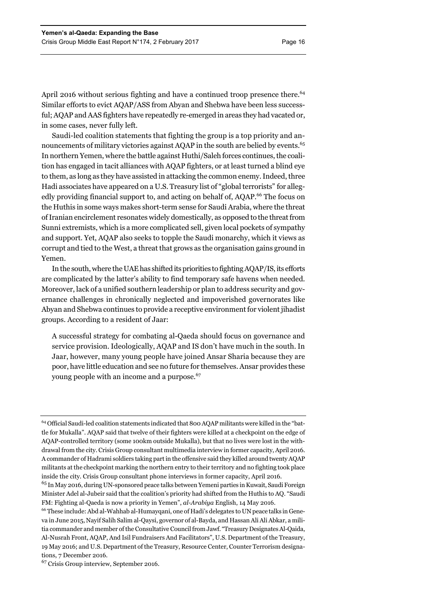April 2016 without serious fighting and have a continued troop presence there.<sup>64</sup> Similar efforts to evict AQAP/ASS from Abyan and Shebwa have been less successful; AQAP and AAS fighters have repeatedly re-emerged in areas they had vacated or, in some cases, never fully left.

Saudi-led coalition statements that fighting the group is a top priority and announcements of military victories against AQAP in the south are belied by events.<sup>65</sup> In northern Yemen, where the battle against Huthi/Saleh forces continues, the coalition has engaged in tacit alliances with AQAP fighters, or at least turned a blind eye to them, as long as they have assisted in attacking the common enemy. Indeed, three Hadi associates have appeared on a U.S. Treasury list of "global terrorists" for allegedly providing financial support to, and acting on behalf of, AQAP.<sup>66</sup> The focus on the Huthis in some ways makes short-term sense for Saudi Arabia, where the threat of Iranian encirclement resonates widely domestically, as opposed to the threat from Sunni extremists, which is a more complicated sell, given local pockets of sympathy and support. Yet, AQAP also seeks to topple the Saudi monarchy, which it views as corrupt and tied to the West, a threat that grows as the organisation gains ground in Yemen.

In the south, where the UAE has shifted its priorities to fighting AQAP/IS, its efforts are complicated by the latter's ability to find temporary safe havens when needed. Moreover, lack of a unified southern leadership or plan to address security and governance challenges in chronically neglected and impoverished governorates like Abyan and Shebwa continues to provide a receptive environment for violent jihadist groups. According to a resident of Jaar:

A successful strategy for combating al-Qaeda should focus on governance and service provision. Ideologically, AQAP and IS don't have much in the south. In Jaar, however, many young people have joined Ansar Sharia because they are poor, have little education and see no future for themselves. Ansar provides these young people with an income and a purpose.<sup>67</sup>

<sup>64</sup> Official Saudi-led coalition statements indicated that 800 AQAP militants were killed in the "battle for Mukalla". AQAP said that twelve of their fighters were killed at a checkpoint on the edge of AQAP-controlled territory (some 100km outside Mukalla), but that no lives were lost in the withdrawal from the city. Crisis Group consultant multimedia interview in former capacity, April 2016. A commander of Hadrami soldiers taking part in the offensive said they killed around twenty AQAP militants at the checkpoint marking the northern entry to their territory and no fighting took place inside the city. Crisis Group consultant phone interviews in former capacity, April 2016.

<sup>65</sup> In May 2016, during UN-sponsored peace talks between Yemeni parties in Kuwait, Saudi Foreign Minister Adel al-Jubeir said that the coalition's priority had shifted from the Huthis to AQ. "Saudi FM: Fighting al-Qaeda is now a priority in Yemen", *al-Arabiya* English, 14 May 2016.

<sup>66</sup> These include: Abd al-Wahhab al-Humayqani, one of Hadi's delegates to UN peace talks in Geneva in June 2015, Nayif Salih Salim al-Qaysi, governor of al-Bayda, and Hassan Ali Ali Abkar, a militia commander and member of the Consultative Council from Jawf. "Treasury Designates Al-Qaida, Al-Nusrah Front, AQAP, And Isil Fundraisers And Facilitators", U.S. Department of the Treasury, 19 May 2016; and U.S. Department of the Treasury, Resource Center, Counter Terrorism designations, 7 December 2016.

<sup>&</sup>lt;sup>67</sup> Crisis Group interview, September 2016.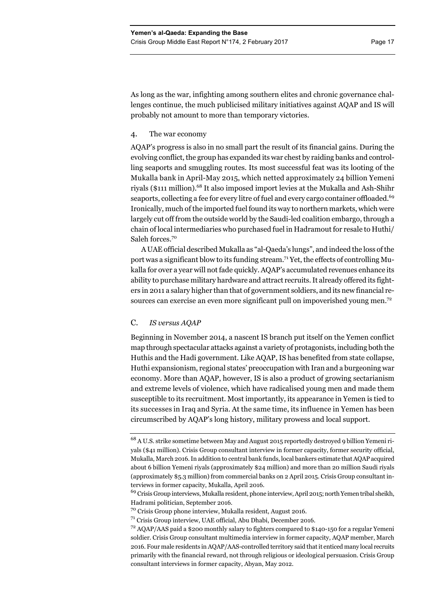As long as the war, infighting among southern elites and chronic governance challenges continue, the much publicised military initiatives against AQAP and IS will probably not amount to more than temporary victories.

### 4. The war economy

AQAP's progress is also in no small part the result of its financial gains. During the evolving conflict, the group has expanded its war chest by raiding banks and controlling seaports and smuggling routes. Its most successful feat was its looting of the Mukalla bank in April-May 2015, which netted approximately 24 billion Yemeni riyals (\$111 million).<sup>68</sup> It also imposed import levies at the Mukalla and Ash-Shihr seaports, collecting a fee for every litre of fuel and every cargo container offloaded.<sup>69</sup> Ironically, much of the imported fuel found its way to northern markets, which were largely cut off from the outside world by the Saudi-led coalition embargo, through a chain of local intermediaries who purchased fuel in Hadramout for resale to Huthi/ Saleh forces.<sup>70</sup>

A UAE official described Mukalla as "al-Qaeda's lungs", and indeed the loss of the port was a significant blow to its funding stream.<sup>71</sup> Yet, the effects of controlling Mukalla for over a year will not fade quickly. AQAP's accumulated revenues enhance its ability to purchase military hardware and attract recruits. It already offered its fighters in 2011 a salary higher than that of government soldiers, and its new financial resources can exercise an even more significant pull on impoverished young men.<sup>72</sup>

## C. *IS versus AQAP*

Beginning in November 2014, a nascent IS branch put itself on the Yemen conflict map through spectacular attacks against a variety of protagonists, including both the Huthis and the Hadi government. Like AQAP, IS has benefited from state collapse, Huthi expansionism, regional states' preoccupation with Iran and a burgeoning war economy. More than AQAP, however, IS is also a product of growing sectarianism and extreme levels of violence, which have radicalised young men and made them susceptible to its recruitment. Most importantly, its appearance in Yemen is tied to its successes in Iraq and Syria. At the same time, its influence in Yemen has been circumscribed by AQAP's long history, military prowess and local support.

<sup>68</sup> A U.S. strike sometime between May and August 2015 reportedly destroyed 9 billion Yemeni riyals (\$41 million). Crisis Group consultant interview in former capacity, former security official, Mukalla, March 2016. In addition to central bank funds, local bankers estimate that AQAP acquired about 6 billion Yemeni riyals (approximately \$24 million) and more than 20 million Saudi riyals (approximately \$5.3 million) from commercial banks on 2 April 2015. Crisis Group consultant interviews in former capacity, Mukalla, April 2016.

<sup>&</sup>lt;sup>69</sup> Crisis Group interviews, Mukalla resident, phone interview, April 2015; north Yemen tribal sheikh, Hadrami politician, September 2016.

<sup>70</sup> Crisis Group phone interview, Mukalla resident, August 2016.

<sup>71</sup> Crisis Group interview, UAE official, Abu Dhabi, December 2016.

 $72$  AQAP/AAS paid a \$200 monthly salary to fighters compared to \$140-150 for a regular Yemeni soldier. Crisis Group consultant multimedia interview in former capacity, AQAP member, March 2016. Four male residents in AQAP/AAS-controlled territory said that it enticed many local recruits primarily with the financial reward, not through religious or ideological persuasion. Crisis Group consultant interviews in former capacity, Abyan, May 2012.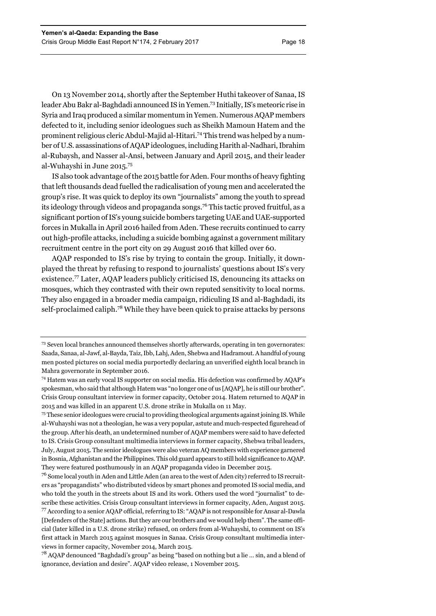On 13 November 2014, shortly after the September Huthi takeover of Sanaa, IS leader Abu Bakr al-Baghdadi announced IS in Yemen.73 Initially, IS's meteoric rise in Syria and Iraq produced a similar momentum in Yemen. Numerous AQAP members defected to it, including senior ideologues such as Sheikh Mamoun Hatem and the prominent religious cleric Abdul-Majid al-Hitari.<sup>74</sup> This trend was helped by a number of U.S. assassinations of AQAP ideologues, including Harith al-Nadhari, Ibrahim al-Rubaysh, and Nasser al-Ansi, between January and April 2015, and their leader al-Wuhayshi in June 2015.75

IS also took advantage of the 2015 battle for Aden. Four months of heavy fighting that left thousands dead fuelled the radicalisation of young men and accelerated the group's rise. It was quick to deploy its own "journalists" among the youth to spread its ideology through videos and propaganda songs.76 This tactic proved fruitful, as a significant portion of IS's young suicide bombers targeting UAE and UAE-supported forces in Mukalla in April 2016 hailed from Aden. These recruits continued to carry out high-profile attacks, including a suicide bombing against a government military recruitment centre in the port city on 29 August 2016 that killed over 60.

AQAP responded to IS's rise by trying to contain the group. Initially, it downplayed the threat by refusing to respond to journalists' questions about IS's very existence.77 Later, AQAP leaders publicly criticised IS, denouncing its attacks on mosques, which they contrasted with their own reputed sensitivity to local norms. They also engaged in a broader media campaign, ridiculing IS and al-Baghdadi, its self-proclaimed caliph.78 While they have been quick to praise attacks by persons

75 These senior ideologues were crucial to providing theological arguments against joining IS. While al-Wuhayshi was not a theologian, he was a very popular, astute and much-respected figurehead of the group. After his death, an undetermined number of AQAP members were said to have defected to IS. Crisis Group consultant multimedia interviews in former capacity, Shebwa tribal leaders, July, August 2015. The senior ideologues were also veteran AQ members with experience garnered in Bosnia, Afghanistan and the Philippines. This old guard appears to still hold significance to AQAP. They were featured posthumously in an AQAP propaganda video in December 2015.

<sup>73</sup> Seven local branches announced themselves shortly afterwards, operating in ten governorates: Saada, Sanaa, al-Jawf, al-Bayda, Taiz, Ibb, Lahj, Aden, Shebwa and Hadramout. A handful of young men posted pictures on social media purportedly declaring an unverified eighth local branch in Mahra governorate in September 2016.

<sup>74</sup> Hatem was an early vocal IS supporter on social media. His defection was confirmed by AQAP's spokesman, who said that although Hatem was "no longer one of us [AQAP], he is still our brother". Crisis Group consultant interview in former capacity, October 2014. Hatem returned to AQAP in 2015 and was killed in an apparent U.S. drone strike in Mukalla on 11 May.

 $76$  Some local youth in Aden and Little Aden (an area to the west of Aden city) referred to IS recruiters as "propagandists" who distributed videos by smart phones and promoted IS social media, and who told the youth in the streets about IS and its work. Others used the word "journalist" to describe these activities. Crisis Group consultant interviews in former capacity, Aden, August 2015. 77 According to a senior AQAP official, referring to IS: "AQAP is not responsible for Ansar al-Dawla [Defenders of the State] actions. But they are our brothers and we would help them". The same official (later killed in a U.S. drone strike) refused, on orders from al-Wuhayshi, to comment on IS's first attack in March 2015 against mosques in Sanaa. Crisis Group consultant multimedia interviews in former capacity, November 2014, March 2015.

<sup>78</sup> AQAP denounced "Baghdadi's group" as being "based on nothing but a lie … sin, and a blend of ignorance, deviation and desire". AQAP video release, 1 November 2015.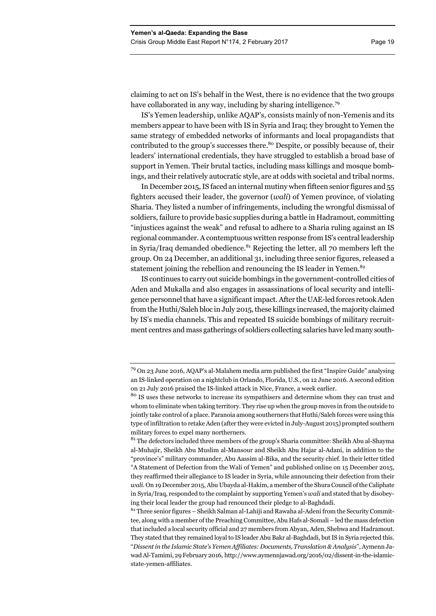claiming to act on IS's behalf in the West, there is no evidence that the two groups have collaborated in any way, including by sharing intelligence.<sup>79</sup>

IS's Yemen leadership, unlike AQAP's, consists mainly of non-Yemenis and its members appear to have been with IS in Syria and Iraq; they brought to Yemen the same strategy of embedded networks of informants and local propagandists that contributed to the group's successes there.<sup>80</sup> Despite, or possibly because of, their leaders' international credentials, they have struggled to establish a broad base of support in Yemen. Their brutal tactics, including mass killings and mosque bombings, and their relatively autocratic style, are at odds with societal and tribal norms.

In December 2015, IS faced an internal mutiny when fifteen senior figures and 55 fighters accused their leader, the governor (*wali*) of Yemen province, of violating Sharia. They listed a number of infringements, including the wrongful dismissal of soldiers, failure to provide basic supplies during a battle in Hadramout, committing "injustices against the weak" and refusal to adhere to a Sharia ruling against an IS regional commander. A contemptuous written response from IS's central leadership in Syria/Iraq demanded obedience. $81$  Rejecting the letter, all 70 members left the group. On 24 December, an additional 31, including three senior figures, released a statement joining the rebellion and renouncing the IS leader in Yemen.<sup>82</sup>

IS continues to carry out suicide bombings in the government-controlled cities of Aden and Mukalla and also engages in assassinations of local security and intelligence personnel that have a significant impact. After the UAE-led forces retook Aden from the Huthi/Saleh bloc in July 2015, these killings increased, the majority claimed by IS's media channels. This and repeated IS suicide bombings of military recruitment centres and mass gatherings of soldiers collecting salaries have led many south-

<sup>79</sup> On 23 June 2016, AQAP's al-Malahem media arm published the first "Inspire Guide" analysing an IS-linked operation on a nightclub in Orlando, Florida, U.S., on 12 June 2016. A second edition on 21 July 2016 praised the IS-linked attack in Nice, France, a week earlier.

<sup>&</sup>lt;sup>80</sup> IS uses these networks to increase its sympathisers and determine whom they can trust and whom to eliminate when taking territory. They rise up when the group moves in from the outside to jointly take control of a place. Paranoia among southerners that Huthi/Saleh forces were using this type of infiltration to retake Aden (after they were evicted in July-August 2015) prompted southern military forces to expel many northerners.

 $81$ <sup>81</sup> The defectors included three members of the group's Sharia committee: Sheikh Abu al-Shayma al-Muhajir, Sheikh Abu Muslim al-Mansour and Sheikh Abu Hajar al-Adani, in addition to the "province's" military commander, Abu Aassim al-Bika, and the security chief. In their letter titled "A Statement of Defection from the Wali of Yemen" and published online on 15 December 2015, they reaffirmed their allegiance to IS leader in Syria, while announcing their defection from their *wali*. On 19 December 2015, Abu Ubayda al-Hakim, a member of the Shura Council of the Caliphate in Syria/Iraq, responded to the complaint by supporting Yemen's *wali* and stated that by disobeying their local leader the group had renounced their pledge to al-Baghdadi.

 $82$  Three senior figures – Sheikh Salman al-Lahiji and Rawaha al-Adeni from the Security Committee, along with a member of the Preaching Committee, Abu Hafs al-Somali – led the mass defection that included a local security official and 27 members from Abyan, Aden, Shebwa and Hadramout. They stated that they remained loyal to IS leader Abu Bakr al-Baghdadi, but IS in Syria rejected this. "*Dissent in the Islamic State's Yemen Affiliates: Documents, Translation & Analysis*", Aymenn Jawad Al-Tamimi, 29 February 2016, http://www.aymennjawad.org/2016/02/dissent-in-the-islamicstate-yemen-affiliates.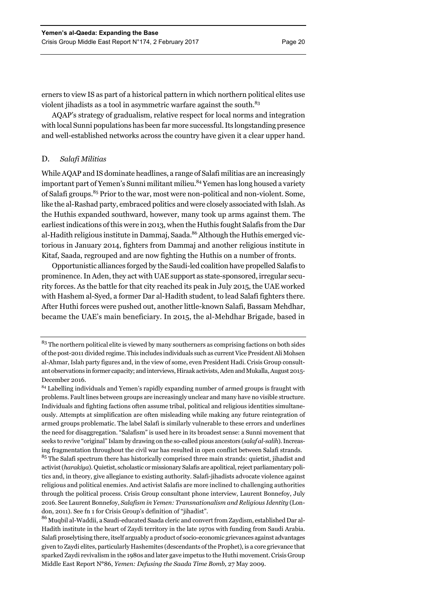erners to view IS as part of a historical pattern in which northern political elites use violent jihadists as a tool in asymmetric warfare against the south.<sup>83</sup>

AQAP's strategy of gradualism, relative respect for local norms and integration with local Sunni populations has been far more successful. Its longstanding presence and well-established networks across the country have given it a clear upper hand.

## D. *Salafi Militias*

While AQAP and IS dominate headlines, a range of Salafi militias are an increasingly important part of Yemen's Sunni militant milieu.<sup>84</sup> Yemen has long housed a variety of Salafi groups.<sup>85</sup> Prior to the war, most were non-political and non-violent. Some, like the al-Rashad party, embraced politics and were closely associated with Islah. As the Huthis expanded southward, however, many took up arms against them. The earliest indications of this were in 2013, when the Huthis fought Salafis from the Dar al-Hadith religious institute in Dammaj, Saada.<sup>86</sup> Although the Huthis emerged victorious in January 2014, fighters from Dammaj and another religious institute in Kitaf, Saada, regrouped and are now fighting the Huthis on a number of fronts.

Opportunistic alliances forged by the Saudi-led coalition have propelled Salafis to prominence. In Aden, they act with UAE support as state-sponsored, irregular security forces. As the battle for that city reached its peak in July 2015, the UAE worked with Hashem al-Syed, a former Dar al-Hadith student, to lead Salafi fighters there. After Huthi forces were pushed out, another little-known Salafi, Bassam Mehdhar, became the UAE's main beneficiary. In 2015, the al-Mehdhar Brigade, based in

86 Muqbil al-Waddii, a Saudi-educated Saada cleric and convert from Zaydism, established Dar al-Hadith institute in the heart of Zaydi territory in the late 1970s with funding from Saudi Arabia. Salafi proselytising there, itself arguably a product of socio-economic grievances against advantages given to Zaydi elites, particularly Hashemites (descendants of the Prophet), is a core grievance that sparked Zaydi revivalism in the 1980s and later gave impetus to the Huthi movement. Crisis Group Middle East Report N**°**86, *Yemen: Defusing the Saada Time Bomb,* 27 May 2009.

<sup>&</sup>lt;sup>83</sup> The northern political elite is viewed by many southerners as comprising factions on both sides of the post-2011 divided regime. This includes individuals such as current Vice President Ali Mohsen al-Ahmar, Islah party figures and, in the view of some, even President Hadi. Crisis Group consultant observations in former capacity; and interviews, Hiraak activists, Aden and Mukalla, August 2015- December 2016.

<sup>&</sup>lt;sup>84</sup> Labelling individuals and Yemen's rapidly expanding number of armed groups is fraught with problems. Fault lines between groups are increasingly unclear and many have no visible structure. Individuals and fighting factions often assume tribal, political and religious identities simultaneously. Attempts at simplification are often misleading while making any future reintegration of armed groups problematic. The label Salafi is similarly vulnerable to these errors and underlines the need for disaggregation. "Salafism" is used here in its broadest sense: a Sunni movement that seeks to revive "original" Islam by drawing on the so-called pious ancestors (*salaf al-salih*). Increasing fragmentation throughout the civil war has resulted in open conflict between Salafi strands. <sup>85</sup> The Salafi spectrum there has historically comprised three main strands: quietist, jihadist and activist (*harakiya*). Quietist, scholastic or missionary Salafis are apolitical, reject parliamentary politics and, in theory, give allegiance to existing authority. Salafi-jihadists advocate violence against religious and political enemies. And activist Salafis are more inclined to challenging authorities through the political process. Crisis Group consultant phone interview, Laurent Bonnefoy, July 2016. See Laurent Bonnefoy, *Salafism in Yemen: Transnationalism and Religious Identity* (London, 2011). See fn 1 for Crisis Group's definition of "jihadist".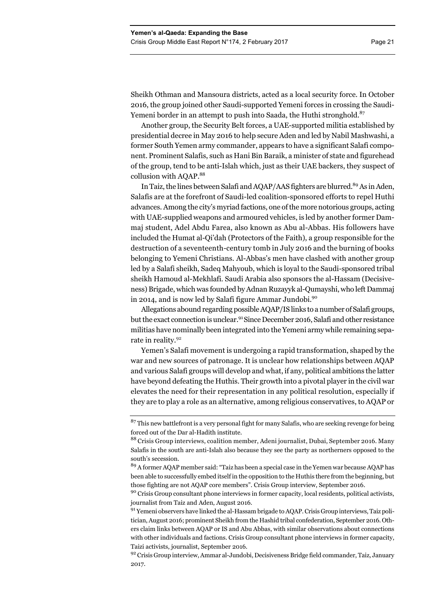Sheikh Othman and Mansoura districts, acted as a local security force. In October 2016, the group joined other Saudi-supported Yemeni forces in crossing the Saudi-Yemeni border in an attempt to push into Saada, the Huthi stronghold.<sup>87</sup>

Another group, the Security Belt forces, a UAE-supported militia established by presidential decree in May 2016 to help secure Aden and led by Nabil Mashwashi, a former South Yemen army commander, appears to have a significant Salafi component. Prominent Salafis, such as Hani Bin Baraik, a minister of state and figurehead of the group, tend to be anti-Islah which, just as their UAE backers, they suspect of collusion with AQAP.<sup>88</sup>

In Taiz, the lines between Salafi and AQAP/AAS fighters are blurred.<sup>89</sup> As in Aden, Salafis are at the forefront of Saudi-led coalition-sponsored efforts to repel Huthi advances. Among the city's myriad factions, one of the more notorious groups, acting with UAE-supplied weapons and armoured vehicles, is led by another former Dammaj student, Adel Abdu Farea, also known as Abu al-Abbas. His followers have included the Humat al-Qi'dah (Protectors of the Faith), a group responsible for the destruction of a seventeenth-century tomb in July 2016 and the burning of books belonging to Yemeni Christians. Al-Abbas's men have clashed with another group led by a Salafi sheikh, Sadeq Mahyoub, which is loyal to the Saudi-sponsored tribal sheikh Hamoud al-Mekhlafi. Saudi Arabia also sponsors the al-Hassam (Decisiveness) Brigade, which was founded by Adnan Ruzayyk al-Qumayshi, who left Dammaj in 2014, and is now led by Salafi figure Ammar Jundobi.<sup>90</sup>

Allegations abound regarding possible AQAP/IS links to a number of Salafi groups, but the exact connection is unclear.<sup>91</sup> Since December 2016, Salafi and other resistance militias have nominally been integrated into the Yemeni army while remaining separate in reality.<sup>92</sup>

Yemen's Salafi movement is undergoing a rapid transformation, shaped by the war and new sources of patronage. It is unclear how relationships between AQAP and various Salafi groups will develop and what, if any, political ambitions the latter have beyond defeating the Huthis. Their growth into a pivotal player in the civil war elevates the need for their representation in any political resolution, especially if they are to play a role as an alternative, among religious conservatives, to AQAP or

 $87$  This new battlefront is a very personal fight for many Salafis, who are seeking revenge for being forced out of the Dar al-Hadith institute.

<sup>&</sup>lt;sup>88</sup> Crisis Group interviews, coalition member, Adeni journalist, Dubai, September 2016. Many Salafis in the south are anti-Islah also because they see the party as northerners opposed to the south's secession.

<sup>89</sup> A former AQAP member said: "Taiz has been a special case in the Yemen war because AQAP has been able to successfully embed itself in the opposition to the Huthis there from the beginning, but those fighting are not AQAP core members". Crisis Group interview, September 2016.

<sup>&</sup>lt;sup>90</sup> Crisis Group consultant phone interviews in former capacity, local residents, political activists, journalist from Taiz and Aden, August 2016.

<sup>91</sup> Yemeni observers have linked the al-Hassam brigade to AQAP. Crisis Group interviews, Taiz politician, August 2016; prominent Sheikh from the Hashid tribal confederation, September 2016. Others claim links between AQAP or IS and Abu Abbas, with similar observations about connections with other individuals and factions. Crisis Group consultant phone interviews in former capacity, Taizi activists, journalist, September 2016.

<sup>92</sup> Crisis Group interview, Ammar al-Jundobi, Decisiveness Bridge field commander, Taiz, January 2017.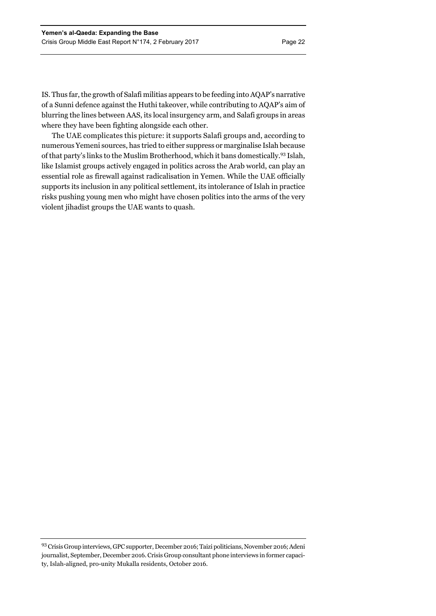IS. Thus far, the growth of Salafi militias appears to be feeding into AQAP's narrative of a Sunni defence against the Huthi takeover, while contributing to AQAP's aim of blurring the lines between AAS, its local insurgency arm, and Salafi groups in areas where they have been fighting alongside each other.

The UAE complicates this picture: it supports Salafi groups and, according to numerous Yemeni sources, has tried to either suppress or marginalise Islah because of that party's links to the Muslim Brotherhood, which it bans domestically.93 Islah, like Islamist groups actively engaged in politics across the Arab world, can play an essential role as firewall against radicalisation in Yemen. While the UAE officially supports its inclusion in any political settlement, its intolerance of Islah in practice risks pushing young men who might have chosen politics into the arms of the very violent jihadist groups the UAE wants to quash.

<sup>93</sup> Crisis Group interviews, GPC supporter, December 2016; Taizi politicians, November 2016; Adeni journalist, September, December 2016. Crisis Group consultant phone interviews in former capacity, Islah-aligned, pro-unity Mukalla residents, October 2016.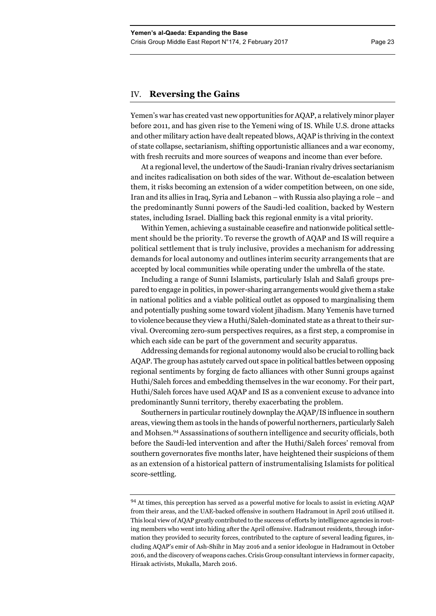## IV. **Reversing the Gains**

Yemen's war has created vast new opportunities for AQAP, a relatively minor player before 2011, and has given rise to the Yemeni wing of IS. While U.S. drone attacks and other military action have dealt repeated blows, AQAP is thriving in the context of state collapse, sectarianism, shifting opportunistic alliances and a war economy, with fresh recruits and more sources of weapons and income than ever before.

At a regional level, the undertow of the Saudi-Iranian rivalry drives sectarianism and incites radicalisation on both sides of the war. Without de-escalation between them, it risks becoming an extension of a wider competition between, on one side, Iran and its allies in Iraq, Syria and Lebanon – with Russia also playing a role – and the predominantly Sunni powers of the Saudi-led coalition, backed by Western states, including Israel. Dialling back this regional enmity is a vital priority.

Within Yemen, achieving a sustainable ceasefire and nationwide political settlement should be the priority. To reverse the growth of AQAP and IS will require a political settlement that is truly inclusive, provides a mechanism for addressing demands for local autonomy and outlines interim security arrangements that are accepted by local communities while operating under the umbrella of the state.

Including a range of Sunni Islamists, particularly Islah and Salafi groups prepared to engage in politics, in power-sharing arrangements would give them a stake in national politics and a viable political outlet as opposed to marginalising them and potentially pushing some toward violent jihadism. Many Yemenis have turned to violence because they view a Huthi/Saleh-dominated state as a threat to their survival. Overcoming zero-sum perspectives requires, as a first step, a compromise in which each side can be part of the government and security apparatus.

Addressing demands for regional autonomy would also be crucial to rolling back AQAP. The group has astutely carved out space in political battles between opposing regional sentiments by forging de facto alliances with other Sunni groups against Huthi/Saleh forces and embedding themselves in the war economy. For their part, Huthi/Saleh forces have used AQAP and IS as a convenient excuse to advance into predominantly Sunni territory, thereby exacerbating the problem.

Southerners in particular routinely downplay the AQAP/IS influence in southern areas, viewing them as tools in the hands of powerful northerners, particularly Saleh and Mohsen.94 Assassinations of southern intelligence and security officials, both before the Saudi-led intervention and after the Huthi/Saleh forces' removal from southern governorates five months later, have heightened their suspicions of them as an extension of a historical pattern of instrumentalising Islamists for political score-settling.

<sup>&</sup>lt;sup>94</sup> At times, this perception has served as a powerful motive for locals to assist in evicting AQAP from their areas, and the UAE-backed offensive in southern Hadramout in April 2016 utilised it. This local view of AQAP greatly contributed to the success of efforts by intelligence agencies in routing members who went into hiding after the April offensive. Hadramout residents, through information they provided to security forces, contributed to the capture of several leading figures, including AQAP's emir of Ash-Shihr in May 2016 and a senior ideologue in Hadramout in October 2016, and the discovery of weapons caches. Crisis Group consultant interviews in former capacity, Hiraak activists, Mukalla, March 2016.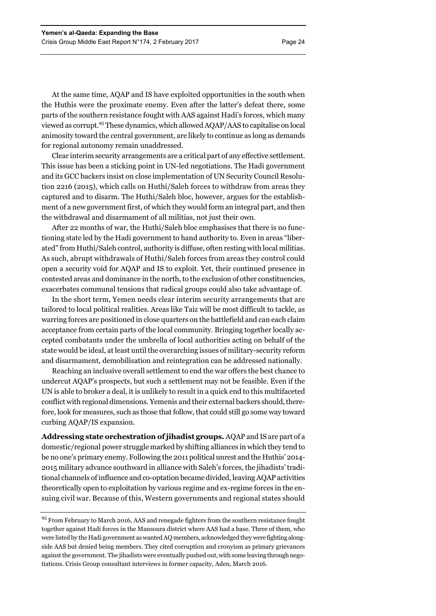At the same time, AQAP and IS have exploited opportunities in the south when the Huthis were the proximate enemy. Even after the latter's defeat there, some parts of the southern resistance fought with AAS against Hadi's forces, which many viewed as corrupt.95 These dynamics, which allowed AQAP/AAS to capitalise on local animosity toward the central government, are likely to continue as long as demands for regional autonomy remain unaddressed.

Clear interim security arrangements are a critical part of any effective settlement. This issue has been a sticking point in UN-led negotiations. The Hadi government and its GCC backers insist on close implementation of UN Security Council Resolution 2216 (2015), which calls on Huthi/Saleh forces to withdraw from areas they captured and to disarm. The Huthi/Saleh bloc, however, argues for the establishment of a new government first, of which they would form an integral part, and then the withdrawal and disarmament of all militias, not just their own.

After 22 months of war, the Huthi/Saleh bloc emphasises that there is no functioning state led by the Hadi government to hand authority to. Even in areas "liberated" from Huthi/Saleh control, authority is diffuse, often resting with local militias. As such, abrupt withdrawals of Huthi/Saleh forces from areas they control could open a security void for AQAP and IS to exploit. Yet, their continued presence in contested areas and dominance in the north, to the exclusion of other constituencies, exacerbates communal tensions that radical groups could also take advantage of.

In the short term, Yemen needs clear interim security arrangements that are tailored to local political realities. Areas like Taiz will be most difficult to tackle, as warring forces are positioned in close quarters on the battlefield and can each claim acceptance from certain parts of the local community. Bringing together locally accepted combatants under the umbrella of local authorities acting on behalf of the state would be ideal, at least until the overarching issues of military-security reform and disarmament, demobilisation and reintegration can be addressed nationally.

Reaching an inclusive overall settlement to end the war offers the best chance to undercut AQAP's prospects, but such a settlement may not be feasible. Even if the UN is able to broker a deal, it is unlikely to result in a quick end to this multifaceted conflict with regional dimensions. Yemenis and their external backers should, therefore, look for measures, such as those that follow, that could still go some way toward curbing AQAP/IS expansion.

**Addressing state orchestration of jihadist groups.** AQAP and IS are part of a domestic/regional power struggle marked by shifting alliances in which they tend to be no one's primary enemy. Following the 2011 political unrest and the Huthis' 2014- 2015 military advance southward in alliance with Saleh's forces, the jihadists' traditional channels of influence and co-optation became divided, leaving AQAP activities theoretically open to exploitation by various regime and ex-regime forces in the ensuing civil war. Because of this, Western governments and regional states should

<sup>&</sup>lt;sup>95</sup> From February to March 2016, AAS and renegade fighters from the southern resistance fought together against Hadi forces in the Mansoura district where AAS had a base. Three of them, who were listed by the Hadi government as wanted AQ members, acknowledged they were fighting alongside AAS but denied being members. They cited corruption and cronyism as primary grievances against the government. The jihadists were eventually pushed out, with some leaving through negotiations. Crisis Group consultant interviews in former capacity, Aden, March 2016.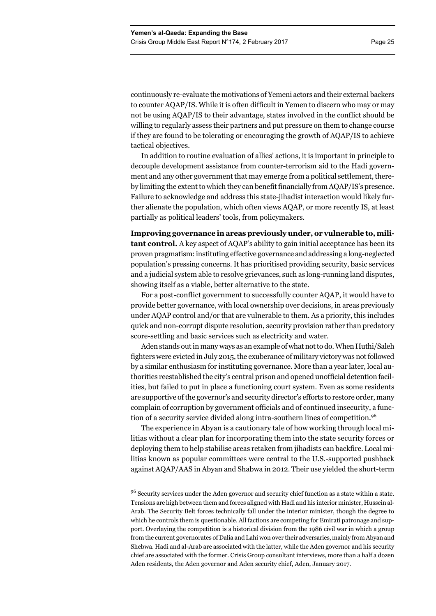continuously re-evaluate the motivations of Yemeni actors and their external backers to counter AQAP/IS. While it is often difficult in Yemen to discern who may or may not be using AQAP/IS to their advantage, states involved in the conflict should be willing to regularly assess their partners and put pressure on them to change course if they are found to be tolerating or encouraging the growth of AQAP/IS to achieve tactical objectives.

In addition to routine evaluation of allies' actions, it is important in principle to decouple development assistance from counter-terrorism aid to the Hadi government and any other government that may emerge from a political settlement, thereby limiting the extent to which they can benefit financially from AQAP/IS's presence. Failure to acknowledge and address this state-jihadist interaction would likely further alienate the population, which often views AQAP, or more recently IS, at least partially as political leaders' tools, from policymakers.

**Improving governance in areas previously under, or vulnerable to, militant control.** A key aspect of AQAP's ability to gain initial acceptance has been its proven pragmatism: instituting effective governance and addressing a long-neglected population's pressing concerns. It has prioritised providing security, basic services and a judicial system able to resolve grievances, such as long-running land disputes, showing itself as a viable, better alternative to the state.

For a post-conflict government to successfully counter AQAP, it would have to provide better governance, with local ownership over decisions, in areas previously under AQAP control and/or that are vulnerable to them. As a priority, this includes quick and non-corrupt dispute resolution, security provision rather than predatory score-settling and basic services such as electricity and water.

Aden stands out in many ways as an example of what not to do. When Huthi/Saleh fighters were evicted in July 2015, the exuberance of military victory was not followed by a similar enthusiasm for instituting governance. More than a year later, local authorities reestablished the city's central prison and opened unofficial detention facilities, but failed to put in place a functioning court system. Even as some residents are supportive of the governor's and security director's efforts to restore order, many complain of corruption by government officials and of continued insecurity, a function of a security service divided along intra-southern lines of competition.<sup>96</sup>

The experience in Abyan is a cautionary tale of how working through local militias without a clear plan for incorporating them into the state security forces or deploying them to help stabilise areas retaken from jihadists can backfire. Local militias known as popular committees were central to the U.S.-supported pushback against AQAP/AAS in Abyan and Shabwa in 2012. Their use yielded the short-term

<sup>&</sup>lt;sup>96</sup> Security services under the Aden governor and security chief function as a state within a state. Tensions are high between them and forces aligned with Hadi and his interior minister, Hussein al-Arab. The Security Belt forces technically fall under the interior minister, though the degree to which he controls them is questionable. All factions are competing for Emirati patronage and support. Overlaying the competition is a historical division from the 1986 civil war in which a group from the current governorates of Dalia and Lahi won over their adversaries, mainly from Abyan and Shebwa. Hadi and al-Arab are associated with the latter, while the Aden governor and his security chief are associated with the former. Crisis Group consultant interviews, more than a half a dozen Aden residents, the Aden governor and Aden security chief, Aden, January 2017.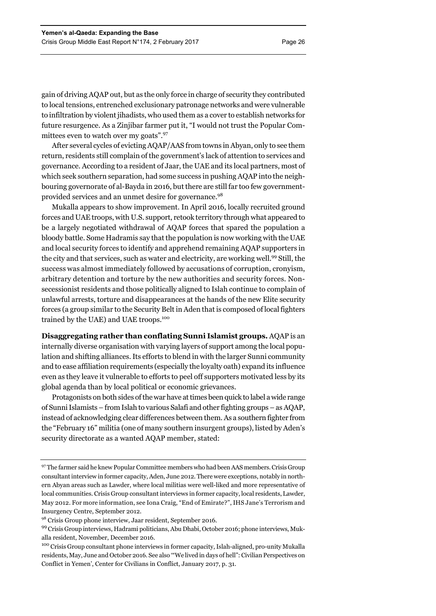gain of driving AQAP out, but as the only force in charge of security they contributed to local tensions, entrenched exclusionary patronage networks and were vulnerable to infiltration by violent jihadists, who used them as a cover to establish networks for future resurgence. As a Zinjibar farmer put it, "I would not trust the Popular Committees even to watch over my goats".<sup>97</sup>

After several cycles of evicting AQAP/AAS from towns in Abyan, only to see them return, residents still complain of the government's lack of attention to services and governance. According to a resident of Jaar, the UAE and its local partners, most of which seek southern separation, had some success in pushing AQAP into the neighbouring governorate of al-Bayda in 2016, but there are still far too few governmentprovided services and an unmet desire for governance.98

Mukalla appears to show improvement. In April 2016, locally recruited ground forces and UAE troops, with U.S. support, retook territory through what appeared to be a largely negotiated withdrawal of AQAP forces that spared the population a bloody battle. Some Hadramis say that the population is now working with the UAE and local security forces to identify and apprehend remaining AQAP supporters in the city and that services, such as water and electricity, are working well.99 Still, the success was almost immediately followed by accusations of corruption, cronyism, arbitrary detention and torture by the new authorities and security forces. Nonsecessionist residents and those politically aligned to Islah continue to complain of unlawful arrests, torture and disappearances at the hands of the new Elite security forces (a group similar to the Security Belt in Aden that is composed of local fighters trained by the UAE) and UAE troops.<sup>100</sup>

**Disaggregating rather than conflating Sunni Islamist groups.** AQAP is an internally diverse organisation with varying layers of support among the local population and shifting alliances. Its efforts to blend in with the larger Sunni community and to ease affiliation requirements (especially the loyalty oath) expand its influence even as they leave it vulnerable to efforts to peel off supporters motivated less by its global agenda than by local political or economic grievances.

Protagonists on both sides of the war have at times been quick to label a wide range of Sunni Islamists – from Islah to various Salafi and other fighting groups – as AQAP, instead of acknowledging clear differences between them. As a southern fighter from the "February 16" militia (one of many southern insurgent groups), listed by Aden's security directorate as a wanted AQAP member, stated:

<sup>97</sup> The farmer said he knew Popular Committee members who had been AAS members. Crisis Group consultant interview in former capacity, Aden, June 2012. There were exceptions, notably in northern Abyan areas such as Lawder, where local militias were well-liked and more representative of local communities. Crisis Group consultant interviews in former capacity, local residents, Lawder, May 2012. For more information, see Iona Craig, "End of Emirate?", IHS Jane's Terrorism and Insurgency Centre, September 2012.

<sup>98</sup> Crisis Group phone interview, Jaar resident, September 2016.

<sup>99</sup> Crisis Group interviews, Hadrami politicians, Abu Dhabi, October 2016; phone interviews, Mukalla resident, November, December 2016.

<sup>&</sup>lt;sup>100</sup> Crisis Group consultant phone interviews in former capacity, Islah-aligned, pro-unity Mukalla residents, May, June and October 2016. See also '"We lived in days of hell": Civilian Perspectives on Conflict in Yemen', Center for Civilians in Conflict, January 2017, p. 31.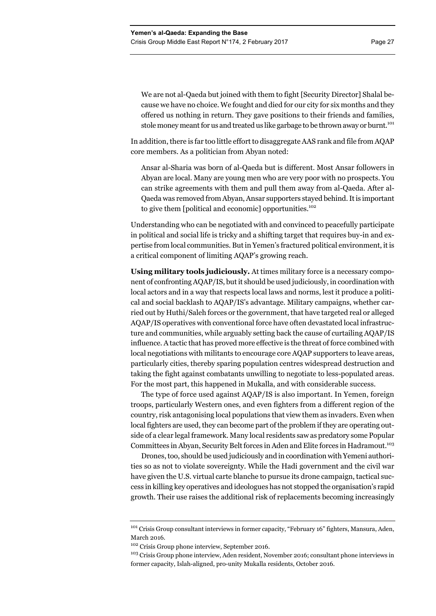In addition, there is far too little effort to disaggregate AAS rank and file from AQAP core members. As a politician from Abyan noted:

Ansar al-Sharia was born of al-Qaeda but is different. Most Ansar followers in Abyan are local. Many are young men who are very poor with no prospects. You can strike agreements with them and pull them away from al-Qaeda. After al-Qaeda was removed from Abyan, Ansar supporters stayed behind. It is important to give them [political and economic] opportunities.<sup>102</sup>

Understanding who can be negotiated with and convinced to peacefully participate in political and social life is tricky and a shifting target that requires buy-in and expertise from local communities. But in Yemen's fractured political environment, it is a critical component of limiting AQAP's growing reach.

**Using military tools judiciously.** At times military force is a necessary component of confronting AQAP/IS, but it should be used judiciously, in coordination with local actors and in a way that respects local laws and norms, lest it produce a political and social backlash to AQAP/IS's advantage. Military campaigns, whether carried out by Huthi/Saleh forces or the government, that have targeted real or alleged AQAP/IS operatives with conventional force have often devastated local infrastructure and communities, while arguably setting back the cause of curtailing AQAP/IS influence. A tactic that has proved more effective is the threat of force combined with local negotiations with militants to encourage core AQAP supporters to leave areas, particularly cities, thereby sparing population centres widespread destruction and taking the fight against combatants unwilling to negotiate to less-populated areas. For the most part, this happened in Mukalla, and with considerable success.

The type of force used against AQAP/IS is also important. In Yemen, foreign troops, particularly Western ones, and even fighters from a different region of the country, risk antagonising local populations that view them as invaders. Even when local fighters are used, they can become part of the problem if they are operating outside of a clear legal framework. Many local residents saw as predatory some Popular Committees in Abyan, Security Belt forces in Aden and Elite forces in Hadramout.103

Drones, too, should be used judiciously and in coordination with Yemeni authorities so as not to violate sovereignty. While the Hadi government and the civil war have given the U.S. virtual carte blanche to pursue its drone campaign, tactical success in killing key operatives and ideologues has not stopped the organisation's rapid growth. Their use raises the additional risk of replacements becoming increasingly

<sup>&</sup>lt;sup>101</sup> Crisis Group consultant interviews in former capacity, "February 16" fighters, Mansura, Aden, March 2016.

<sup>102</sup> Crisis Group phone interview, September 2016.

<sup>&</sup>lt;sup>103</sup> Crisis Group phone interview, Aden resident, November 2016; consultant phone interviews in former capacity, Islah-aligned, pro-unity Mukalla residents, October 2016.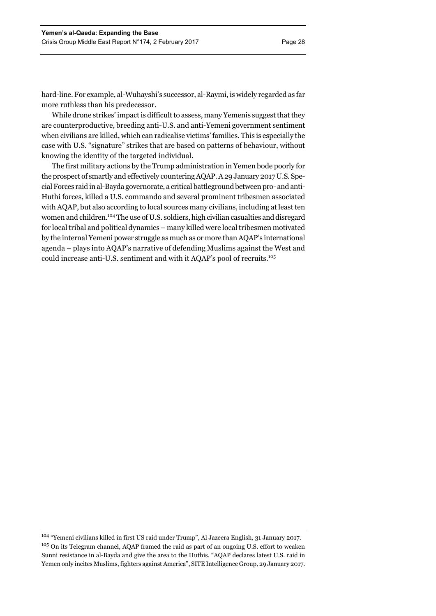hard-line. For example, al-Wuhayshi's successor, al-Raymi, is widely regarded as far more ruthless than his predecessor.

While drone strikes' impact is difficult to assess, many Yemenis suggest that they are counterproductive, breeding anti-U.S. and anti-Yemeni government sentiment when civilians are killed, which can radicalise victims' families. This is especially the case with U.S. "signature" strikes that are based on patterns of behaviour, without knowing the identity of the targeted individual.

The first military actions by the Trump administration in Yemen bode poorly for the prospect of smartly and effectively countering AQAP. A 29 January 2017 U.S. Special Forces raid in al-Bayda governorate, a critical battleground between pro- and anti-Huthi forces, killed a U.S. commando and several prominent tribesmen associated with AQAP, but also according to local sources many civilians, including at least ten women and children.104 The use of U.S. soldiers, high civilian casualties and disregard for local tribal and political dynamics – many killed were local tribesmen motivated by the internal Yemeni power struggle as much as or more than AQAP's international agenda – plays into AQAP's narrative of defending Muslims against the West and could increase anti-U.S. sentiment and with it AQAP's pool of recruits.105

<sup>104 &</sup>quot;Yemeni civilians killed in first US raid under Trump", Al Jazeera English*,* 31 January 2017. <sup>105</sup> On its Telegram channel, AQAP framed the raid as part of an ongoing U.S. effort to weaken Sunni resistance in al-Bayda and give the area to the Huthis. "AQAP declares latest U.S. raid in Yemen only incites Muslims, fighters against America", SITE Intelligence Group*,* 29 January 2017.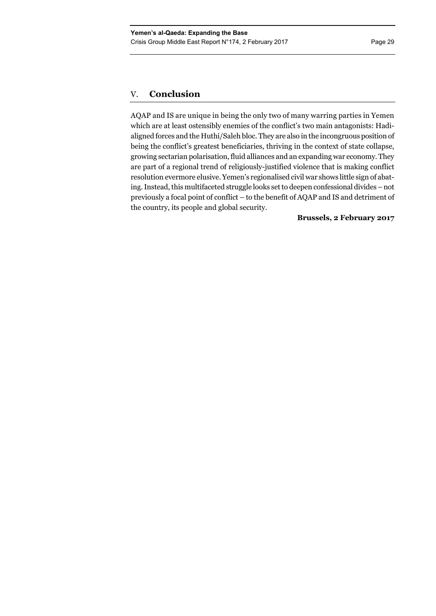## V. **Conclusion**

AQAP and IS are unique in being the only two of many warring parties in Yemen which are at least ostensibly enemies of the conflict's two main antagonists: Hadialigned forces and the Huthi/Saleh bloc. They are also in the incongruous position of being the conflict's greatest beneficiaries, thriving in the context of state collapse, growing sectarian polarisation, fluid alliances and an expanding war economy. They are part of a regional trend of religiously-justified violence that is making conflict resolution evermore elusive. Yemen's regionalised civil war shows little sign of abating. Instead, this multifaceted struggle looks set to deepen confessional divides – not previously a focal point of conflict – to the benefit of AQAP and IS and detriment of the country, its people and global security.

## **Brussels, 2 February 2017**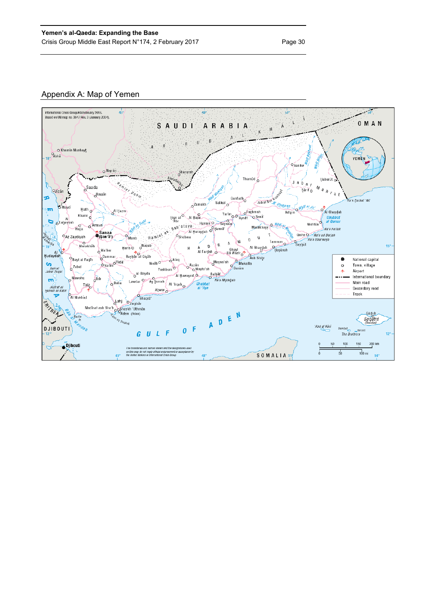## Appendix A: Map of Yemen

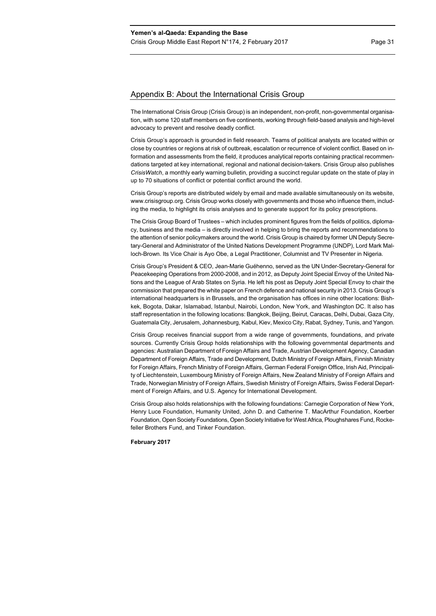## Appendix B: About the International Crisis Group

The International Crisis Group (Crisis Group) is an independent, non-profit, non-governmental organisation, with some 120 staff members on five continents, working through field-based analysis and high-level advocacy to prevent and resolve deadly conflict.

Crisis Group's approach is grounded in field research. Teams of political analysts are located within or close by countries or regions at risk of outbreak, escalation or recurrence of violent conflict. Based on information and assessments from the field, it produces analytical reports containing practical recommendations targeted at key international, regional and national decision-takers. Crisis Group also publishes *CrisisWatch*, a monthly early warning bulletin, providing a succinct regular update on the state of play in up to 70 situations of conflict or potential conflict around the world.

Crisis Group's reports are distributed widely by email and made available simultaneously on its website, www.crisisgroup.org. Crisis Group works closely with governments and those who influence them, including the media, to highlight its crisis analyses and to generate support for its policy prescriptions.

The Crisis Group Board of Trustees – which includes prominent figures from the fields of politics, diplomacy, business and the media – is directly involved in helping to bring the reports and recommendations to the attention of senior policymakers around the world. Crisis Group is chaired by former UN Deputy Secretary-General and Administrator of the United Nations Development Programme (UNDP), Lord Mark Malloch-Brown. Its Vice Chair is Ayo Obe, a Legal Practitioner, Columnist and TV Presenter in Nigeria.

Crisis Group's President & CEO, Jean-Marie Guéhenno, served as the UN Under-Secretary-General for Peacekeeping Operations from 2000-2008, and in 2012, as Deputy Joint Special Envoy of the United Nations and the League of Arab States on Syria. He left his post as Deputy Joint Special Envoy to chair the commission that prepared the white paper on French defence and national security in 2013. Crisis Group's international headquarters is in Brussels, and the organisation has offices in nine other locations: Bishkek, Bogota, Dakar, Islamabad, Istanbul, Nairobi, London, New York, and Washington DC. It also has staff representation in the following locations: Bangkok, Beijing, Beirut, Caracas, Delhi, Dubai, Gaza City, Guatemala City, Jerusalem, Johannesburg, Kabul, Kiev, Mexico City, Rabat, Sydney, Tunis, and Yangon.

Crisis Group receives financial support from a wide range of governments, foundations, and private sources. Currently Crisis Group holds relationships with the following governmental departments and agencies: Australian Department of Foreign Affairs and Trade, Austrian Development Agency, Canadian Department of Foreign Affairs, Trade and Development, Dutch Ministry of Foreign Affairs, Finnish Ministry for Foreign Affairs, French Ministry of Foreign Affairs, German Federal Foreign Office, Irish Aid, Principality of Liechtenstein, Luxembourg Ministry of Foreign Affairs, New Zealand Ministry of Foreign Affairs and Trade, Norwegian Ministry of Foreign Affairs, Swedish Ministry of Foreign Affairs, Swiss Federal Department of Foreign Affairs, and U.S. Agency for International Development.

Crisis Group also holds relationships with the following foundations: Carnegie Corporation of New York, Henry Luce Foundation, Humanity United, John D. and Catherine T. MacArthur Foundation, Koerber Foundation, Open Society Foundations, Open Society Initiative for West Africa, Ploughshares Fund, Rockefeller Brothers Fund, and Tinker Foundation.

**February 2017**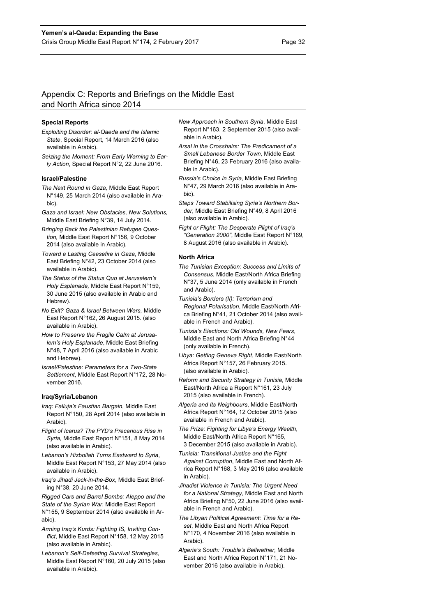## Appendix C: Reports and Briefings on the Middle East and North Africa since 2014

#### **Special Reports**

- *Exploiting Disorder: al-Qaeda and the Islamic State*, Special Report, 14 March 2016 (also available in Arabic).
- *Seizing the Moment: From Early Warning to Early Action*, Special Report N°2, 22 June 2016.

#### **Israel/Palestine**

- *The Next Round in Gaza,* Middle East Report N°149, 25 March 2014 (also available in Arabic).
- *Gaza and Israel: New Obstacles, New Solutions,*  Middle East Briefing N°39, 14 July 2014.
- *Bringing Back the Palestinian Refugee Question,* Middle East Report N°156, 9 October 2014 (also available in Arabic).
- *Toward a Lasting Ceasefire in Gaza*, Middle East Briefing N°42, 23 October 2014 (also available in Arabic).
- *The Status of the Status Quo at Jerusalem's Holy Esplanade,* Middle East Report N°159, 30 June 2015 (also available in Arabic and Hebrew).
- *No Exit? Gaza & Israel Between Wars,* Middle East Report N°162, 26 August 2015. (also available in Arabic).
- *How to Preserve the Fragile Calm at Jerusalem's Holy Esplanade*, Middle East Briefing N°48, 7 April 2016 (also available in Arabic and Hebrew).
- *Israel/Palestine: Parameters for a Two-State Settlement*, Middle East Report N°172, 28 November 2016.

#### **Iraq/Syria/Lebanon**

- *Iraq: Falluja's Faustian Bargain*, Middle East Report N°150, 28 April 2014 (also available in Arabic).
- *Flight of Icarus? The PYD's Precarious Rise in Syria,* Middle East Report N°151, 8 May 2014 (also available in Arabic).
- *Lebanon's Hizbollah Turns Eastward to Syria*, Middle East Report N°153, 27 May 2014 (also available in Arabic).
- *Iraq's Jihadi Jack-in-the-Box*, Middle East Briefing N°38, 20 June 2014.

*Rigged Cars and Barrel Bombs: Aleppo and the State of the Syrian War*, Middle East Report N°155, 9 September 2014 (also available in Arabic).

- *Arming Iraq's Kurds: Fighting IS, Inviting Conflict*, Middle East Report N°158, 12 May 2015 (also available in Arabic).
- *Lebanon's Self-Defeating Survival Strategies,*  Middle East Report N°160*,* 20 July 2015 (also available in Arabic).
- *New Approach in Southern Syria*, Middle East Report N°163, 2 September 2015 (also available in Arabic).
- *Arsal in the Crosshairs: The Predicament of a Small Lebanese Border Town,* Middle East Briefing N°46, 23 February 2016 (also available in Arabic).
- *Russia's Choice in Syria*, Middle East Briefing N°47, 29 March 2016 (also available in Arabic).
- *Steps Toward Stabilising Syria's Northern Border*, Middle East Briefing N°49, 8 April 2016 (also available in Arabic).
- *Fight or Flight: The Desperate Plight of Iraq's "Generation 2000"*, Middle East Report N°169, 8 August 2016 (also available in Arabic).

#### **North Africa**

- *The Tunisian Exception: Success and Limits of Consensus*, Middle East/North Africa Briefing N°37, 5 June 2014 (only available in French and Arabic).
- *Tunisia's Borders (II): Terrorism and Regional Polarisation*, Middle East/North Africa Briefing N°41, 21 October 2014 (also available in French and Arabic).
- *Tunisia's Elections: Old Wounds, New Fears*, Middle East and North Africa Briefing N°44 (only available in French).
- *Libya: Getting Geneva Right*, Middle East/North Africa Report N°157, 26 February 2015. (also available in Arabic).
- *Reform and Security Strategy in Tunisia*, Middle East/North Africa a Report N°161, 23 July 2015 (also available in French).
- *Algeria and Its Neighbours*, Middle East/North Africa Report N°164, 12 October 2015 (also available in French and Arabic).
- *The Prize: Fighting for Libya's Energy Wealth*, Middle East/North Africa Report N°165, 3 December 2015 (also available in Arabic).
- *Tunisia: Transitional Justice and the Fight Against Corruption*, Middle East and North Africa Report N°168, 3 May 2016 (also available in Arabic).
- *Jihadist Violence in Tunisia: The Urgent Need for a National Strategy*, Middle East and North Africa Briefing N°50, 22 June 2016 (also available in French and Arabic).
- *The Libyan Political Agreement: Time for a Reset*, Middle East and North Africa Report N°170, 4 November 2016 (also available in Arabic)
- *Algeria's South: Trouble's Bellwether*, Middle East and North Africa Report N°171, 21 November 2016 (also available in Arabic).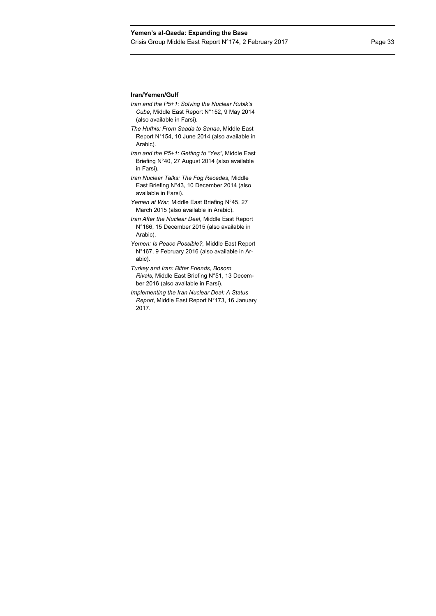## **Iran/Yemen/Gulf**

- *Iran and the P5+1: Solving the Nuclear Rubik's Cube*, Middle East Report N°152, 9 May 2014 (also available in Farsi).
- *The Huthis: From Saada to Sanaa*, Middle East Report N°154, 10 June 2014 (also available in Arabic).
- *Iran and the P5+1: Getting to "Yes"*, Middle East Briefing N°40, 27 August 2014 (also available in Farsi).
- *Iran Nuclear Talks: The Fog Recedes*, Middle East Briefing N°43, 10 December 2014 (also available in Farsi).
- *Yemen at War*, Middle East Briefing N°45, 27 March 2015 (also available in Arabic).
- *Iran After the Nuclear Deal*, Middle East Report N°166, 15 December 2015 (also available in Arabic).
- *Yemen: Is Peace Possible?,* Middle East Report N°167, 9 February 2016 (also available in Arabic).
- *Turkey and Iran: Bitter Friends, Bosom Rivals*, Middle East Briefing N°51, 13 December 2016 (also available in Farsi).
- *Implementing the Iran Nuclear Deal: A Status Report*, Middle East Report N°173, 16 January 2017.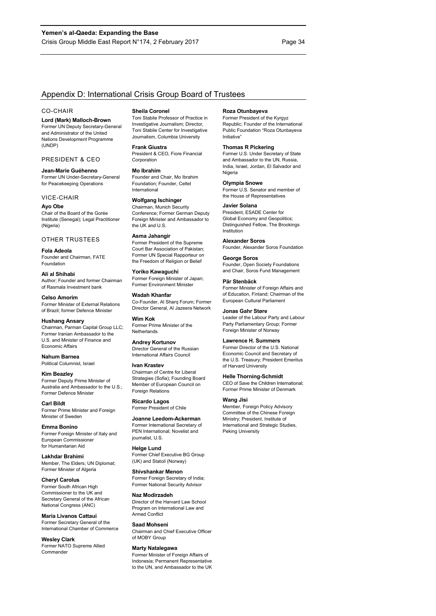## Appendix D: International Crisis Group Board of Trustees

#### CO-CHAIR

**Lord (Mark) Malloch-Brown**  Former UN Deputy Secretary-General and Administrator of the United Nations Development Programme (UNDP)

#### PRESIDENT & CEO

**Jean-Marie Guéhenno**  Former UN Under-Secretary-General for Peacekeeping Operations

#### VICE-CHAIR

**Ayo Obe**  Chair of the Board of the Gorée Institute (Senegal); Legal Practitioner (Nigeria)

#### OTHER TRUSTEES

**Fola Adeola**  Founder and Chairman, FATE Foundation

**Ali al Shihabi**  Author; Founder and former Chairman of Rasmala Investment bank

**Celso Amorim**  Former Minister of External Relations of Brazil; former Defence Minister

**Hushang Ansary**  Chairman, Parman Capital Group LLC; Former Iranian Ambassador to the U.S. and Minister of Finance and Economic Affairs

**Nahum Barnea**  Political Columnist, Israel

## **Kim Beazley**

Former Deputy Prime Minister of Australia and Ambassador to the U.S.; Former Defence Minister

**Carl Bildt**  Former Prime Minister and Foreign Minister of Sweden

**Emma Bonino**  Former Foreign Minister of Italy and European Commissioner for Humanitarian Aid

**Lakhdar Brahimi**  Member, The Elders; UN Diplomat; Former Minister of Algeria

**Cheryl Carolus**  Former South African High Commissioner to the UK and Secretary General of the African National Congress (ANC)

**Maria Livanos Cattaui**  Former Secretary General of the International Chamber of Commerce

**Wesley Clark**  Former NATO Supreme Allied **Commander** 

#### **Sheila Coronel**

Toni Stabile Professor of Practice in Investigative Journalism; Director, Toni Stabile Center for Investigative Journalism, Columbia University

**Frank Giustra** 

President & CEO, Fiore Financial Corporation

#### **Mo Ibrahim**

Founder and Chair, Mo Ibrahim Foundation; Founder, Celtel International

#### **Wolfgang Ischinger**

Chairman, Munich Security Conference; Former German Deputy Foreign Minister and Ambassador to the UK and U.S.

#### **Asma Jahangir**

Former President of the Supreme Court Bar Association of Pakistan; Former UN Special Rapporteur on the Freedom of Religion or Belief

**Yoriko Kawaguchi**  Former Foreign Minister of Japan; Former Environment Minister

**Wadah Khanfar**  Co-Founder, Al Sharq Forum; Former Director General, Al Jazeera Network

**Wim Kok**  Former Prime Minister of the **Netherlands** 

**Andrey Kortunov**  Director General of the Russian International Affairs Council

#### **Ivan Krastev**  Chairman of Centre for Liberal

Strategies (Sofia); Founding Board Member of European Council on Foreign Relations

**Ricardo Lagos**  Former President of Chile

**Joanne Leedom-Ackerman**  Former International Secretary of PEN International; Novelist and journalist, U.S.

**Helge Lund**  Former Chief Executive BG Group (UK) and Statoil (Norway)

#### **Shivshankar Menon**

Former Foreign Secretary of India; Former National Security Advisor

**Naz Modirzadeh**  Director of the Harvard Law School Program on International Law and Armed Conflict

## **Saad Mohseni**  Chairman and Chief Executive Officer

of MOBY Group

## **Marty Natalegawa**

Former Minister of Foreign Affairs of Indonesia; Permanent Representative to the UN, and Ambassador to the UK

#### **Roza Otunbayeva**

Former President of the Kyrgyz Republic; Founder of the International Public Foundation "Roza Otunbayeva Initiative"

#### **Thomas R Pickering**

Former U.S. Under Secretary of State and Ambassador to the UN, Russia, India, Israel, Jordan, El Salvador and **Nigeria** 

#### **Olympia Snowe**

Former U.S. Senator and member of the House of Representatives

#### **Javier Solana**

President, ESADE Center for Global Economy and Geopolitics; Distinguished Fellow, The Brookings Institution

#### **Alexander Soros**

Founder, Alexander Soros Foundation

### **George Soros**

Founder, Open Society Foundations and Chair, Soros Fund Management

#### **Pär Stenbäck**

Former Minister of Foreign Affairs and of Education, Finland; Chairman of the European Cultural Parliament

#### **Jonas Gahr Støre**

Leader of the Labour Party and Labour Party Parliamentary Group; Forme Foreign Minister of Norway

#### **Lawrence H. Summers**

Former Director of the U.S. National Economic Council and Secretary of the U.S. Treasury; President Emeritus of Harvard University

#### **Helle Thorning-Schmidt**

CEO of Save the Children International; Former Prime Minister of Denmark

#### **Wang Jisi**

Member, Foreign Policy Advisory Committee of the Chinese Foreign Ministry; President, Institute of International and Strategic Studies, Peking University